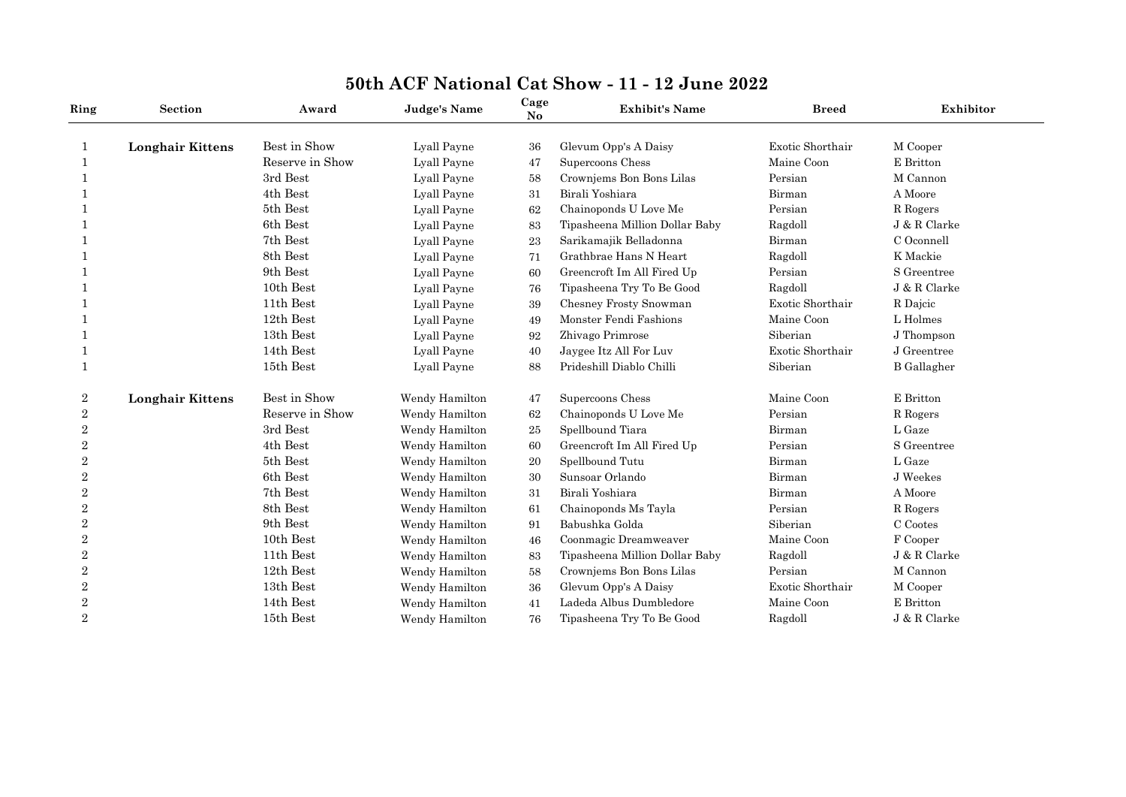| Ring             | Section                 | Award           | <b>Judge's Name</b> | Cage<br>$\mathbf{N}\mathbf{o}$ | <b>Exhibit's Name</b>                            | <b>Breed</b>     | Exhibitor          |
|------------------|-------------------------|-----------------|---------------------|--------------------------------|--------------------------------------------------|------------------|--------------------|
| 1                | <b>Longhair Kittens</b> | Best in Show    | Lyall Payne         | 36                             | Glevum Opp's A Daisy                             | Exotic Shorthair | M Cooper           |
|                  |                         | Reserve in Show | Lyall Payne         | 47                             | Supercoons Chess                                 | Maine Coon       | E Britton          |
| 1                |                         | 3rd Best        | Lyall Payne         | 58                             | Crownjems Bon Bons Lilas                         | Persian          | M Cannon           |
|                  |                         | 4th Best        | Lyall Payne         | 31                             | Birali Yoshiara                                  | Birman           | A Moore            |
| -1               |                         | 5th Best        | Lyall Payne         | 62                             | Chainoponds U Love Me                            | Persian          | R Rogers           |
|                  |                         | 6th Best        |                     |                                |                                                  |                  | J & R Clarke       |
|                  |                         | 7th Best        | Lyall Payne         | 83                             | Tipasheena Million Dollar Baby                   | Ragdoll          | C Oconnell         |
|                  |                         | 8th Best        | Lyall Payne         | 23                             | Sarikamajik Belladonna<br>Grathbrae Hans N Heart | Birman           | K Mackie           |
|                  |                         |                 | Lyall Payne         | 71                             |                                                  | Ragdoll          |                    |
|                  |                         | 9th Best        | Lyall Payne         | 60                             | Greencroft Im All Fired Up                       | Persian          | S Greentree        |
|                  |                         | 10th Best       | Lyall Payne         | 76                             | Tipasheena Try To Be Good                        | Ragdoll          | J & R Clarke       |
|                  |                         | 11th Best       | Lyall Payne         | 39                             | Chesney Frosty Snowman                           | Exotic Shorthair | R Dajcic           |
|                  |                         | 12th Best       | Lyall Payne         | 49                             | Monster Fendi Fashions                           | Maine Coon       | L Holmes           |
|                  |                         | 13th Best       | Lyall Payne         | 92                             | Zhivago Primrose                                 | Siberian         | J Thompson         |
|                  |                         | 14th Best       | Lyall Payne         | 40                             | Jaygee Itz All For Luv                           | Exotic Shorthair | J Greentree        |
| 1                |                         | 15th Best       | Lyall Payne         | 88                             | Prideshill Diablo Chilli                         | Siberian         | <b>B</b> Gallagher |
| $\boldsymbol{2}$ | <b>Longhair Kittens</b> | Best in Show    | Wendy Hamilton      | 47                             | Supercoons Chess                                 | Maine Coon       | E Britton          |
| $\sqrt{2}$       |                         | Reserve in Show | Wendy Hamilton      | 62                             | Chainoponds U Love Me                            | Persian          | R Rogers           |
| $\overline{2}$   |                         | 3rd Best        | Wendy Hamilton      | 25                             | Spellbound Tiara                                 | Birman           | L Gaze             |
| $\overline{2}$   |                         | 4th Best        | Wendy Hamilton      | 60                             | Greencroft Im All Fired Up                       | Persian          | S Greentree        |
| $\overline{2}$   |                         | 5th Best        | Wendy Hamilton      | 20                             | Spellbound Tutu                                  | Birman           | L Gaze             |
| $\sqrt{2}$       |                         | 6th Best        | Wendy Hamilton      | 30                             | Sunsoar Orlando                                  | Birman           | J Weekes           |
| $\overline{2}$   |                         | 7th Best        | Wendy Hamilton      | 31                             | Birali Yoshiara                                  | Birman           | A Moore            |
| $\boldsymbol{2}$ |                         | 8th Best        | Wendy Hamilton      | 61                             | Chainoponds Ms Tayla                             | Persian          | R Rogers           |
| $\overline{2}$   |                         | 9th Best        | Wendy Hamilton      | 91                             | Babushka Golda                                   | Siberian         | C Cootes           |
| $\sqrt{2}$       |                         | 10th Best       | Wendy Hamilton      | 46                             | Coonmagic Dreamweaver                            | Maine Coon       | F Cooper           |
| $\overline{2}$   |                         | 11th Best       | Wendy Hamilton      | 83                             | Tipasheena Million Dollar Baby                   | Ragdoll          | J & R Clarke       |
| $\sqrt{2}$       |                         | 12th Best       | Wendy Hamilton      | 58                             | Crowniems Bon Bons Lilas                         | Persian          | M Cannon           |
| $\overline{2}$   |                         | 13th Best       | Wendy Hamilton      | 36                             | Glevum Opp's A Daisy                             | Exotic Shorthair | M Cooper           |
| $\boldsymbol{2}$ |                         | 14th Best       | Wendy Hamilton      | 41                             | Ladeda Albus Dumbledore                          | Maine Coon       | E Britton          |
| $\overline{2}$   |                         | 15th Best       | Wendy Hamilton      | 76                             | Tipasheena Try To Be Good                        | Ragdoll          | J & R Clarke       |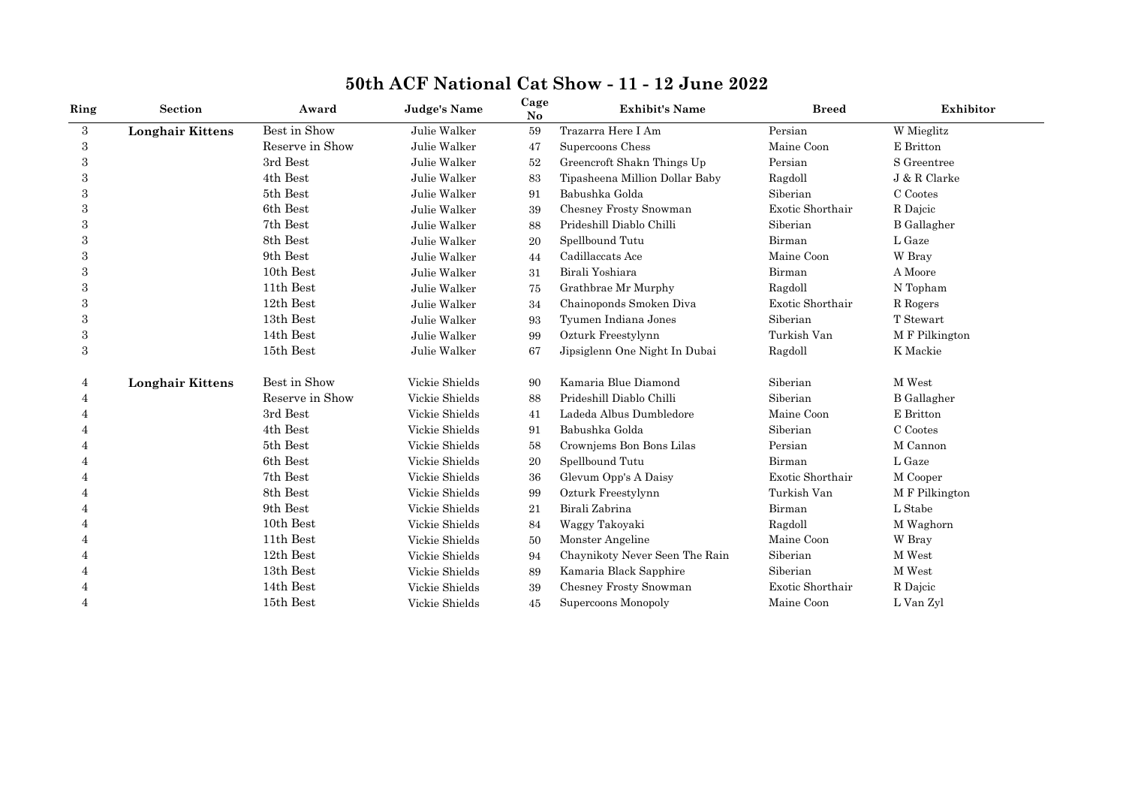| Ring                     | Section                 | Award           | <b>Judge's Name</b> | Cage<br>No | <b>Exhibit's Name</b>          | <b>Breed</b>     | Exhibitor           |
|--------------------------|-------------------------|-----------------|---------------------|------------|--------------------------------|------------------|---------------------|
| 3                        | <b>Longhair Kittens</b> | Best in Show    | Julie Walker        | 59         | Trazarra Here I Am             | Persian          | W Mieglitz          |
| 3                        |                         | Reserve in Show | Julie Walker        | 47         | Supercoons Chess               | Maine Coon       | E Britton           |
| 3                        |                         | 3rd Best        | Julie Walker        | 52         | Greencroft Shakn Things Up     | Persian          | S Greentree         |
| 3                        |                         | 4th Best        | Julie Walker        | 83         | Tipasheena Million Dollar Baby | Ragdoll          | J & R Clarke        |
| 3                        |                         | 5th Best        | Julie Walker        | 91         | Babushka Golda                 | Siberian         | C Cootes            |
| 3                        |                         | 6th Best        | Julie Walker        | 39         | Chesney Frosty Snowman         | Exotic Shorthair | R Dajcic            |
| 3                        |                         | 7th Best        | Julie Walker        | 88         | Prideshill Diablo Chilli       | Siberian         | <b>B</b> Gallagher  |
| 3                        |                         | 8th Best        | Julie Walker        | 20         | Spellbound Tutu                | Birman           | L Gaze              |
| 3                        |                         | 9th Best        | Julie Walker        | 44         | Cadillaccats Ace               | Maine Coon       | W Bray              |
| 3                        |                         | 10th Best       | Julie Walker        | 31         | Birali Yoshiara                | Birman           | A Moore             |
| 3                        |                         | 11th Best       | Julie Walker        | 75         | Grathbrae Mr Murphy            | Ragdoll          | N Topham            |
| 3                        |                         | 12th Best       | Julie Walker        | 34         | Chainoponds Smoken Diva        | Exotic Shorthair | $\mathcal R$ Rogers |
| 3                        |                         | 13th Best       | Julie Walker        | 93         | Tyumen Indiana Jones           | Siberian         | T Stewart           |
| 3                        |                         | 14th Best       | Julie Walker        | 99         | Ozturk Freestylynn             | Turkish Van      | M F Pilkington      |
| 3                        |                         | 15th Best       | Julie Walker        | 67         | Jipsiglenn One Night In Dubai  | Ragdoll          | K Mackie            |
| 4                        | <b>Longhair Kittens</b> | Best in Show    | Vickie Shields      | 90         | Kamaria Blue Diamond           | Siberian         | M West              |
| 4                        |                         | Reserve in Show | Vickie Shields      | 88         | Prideshill Diablo Chilli       | Siberian         | <b>B</b> Gallagher  |
|                          |                         | 3rd Best        | Vickie Shields      | 41         | Ladeda Albus Dumbledore        | Maine Coon       | E Britton           |
|                          |                         | 4th Best        | Vickie Shields      | 91         | Babushka Golda                 | Siberian         | C Cootes            |
|                          |                         | 5th Best        | Vickie Shields      | 58         | Crowniems Bon Bons Lilas       | Persian          | M Cannon            |
|                          |                         | 6th Best        | Vickie Shields      | 20         | Spellbound Tutu                | Birman           | L Gaze              |
|                          |                         | 7th Best        | Vickie Shields      | 36         | Glevum Opp's A Daisy           | Exotic Shorthair | M Cooper            |
|                          |                         | 8th Best        | Vickie Shields      | 99         | Ozturk Freestylynn             | Turkish Van      | M F Pilkington      |
|                          |                         | 9th Best        | Vickie Shields      | 21         | Birali Zabrina                 | Birman           | L Stabe             |
|                          |                         | 10th Best       | Vickie Shields      | 84         | Waggy Takoyaki                 | Ragdoll          | M Waghorn           |
|                          |                         | 11th Best       | Vickie Shields      | 50         | Monster Angeline               | Maine Coon       | W Bray              |
|                          |                         | 12th Best       | Vickie Shields      | 94         | Chaynikoty Never Seen The Rain | Siberian         | M West              |
|                          |                         | 13th Best       | Vickie Shields      | 89         | Kamaria Black Sapphire         | Siberian         | M West              |
|                          |                         | 14th Best       | Vickie Shields      | 39         | Chesney Frosty Snowman         | Exotic Shorthair | R Dajcic            |
| $\overline{\mathcal{A}}$ |                         | 15th Best       | Vickie Shields      | 45         | Supercoons Monopoly            | Maine Coon       | L Van Zyl           |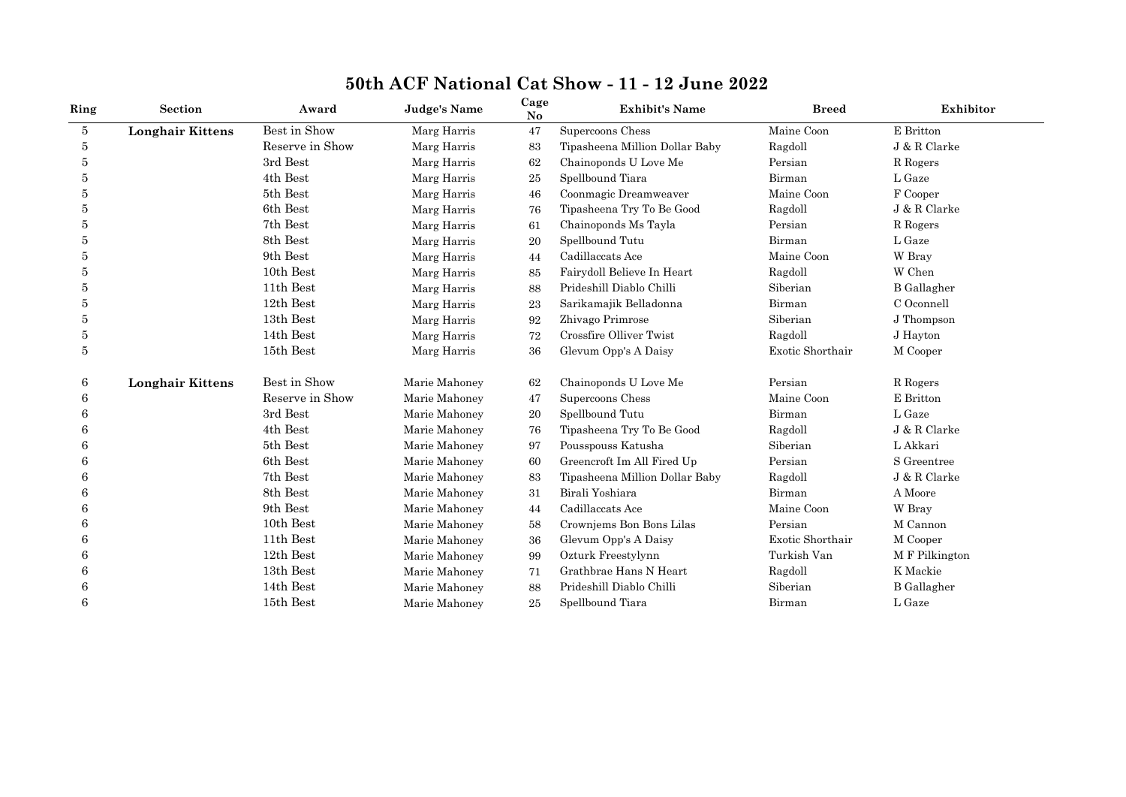| Ring | <b>Section</b>          | Award           | <b>Judge's Name</b> | Cage<br>No | <b>Exhibit's Name</b>          | <b>Breed</b>     | Exhibitor          |
|------|-------------------------|-----------------|---------------------|------------|--------------------------------|------------------|--------------------|
| 5    | <b>Longhair Kittens</b> | Best in Show    | Marg Harris         | 47         | Supercoons Chess               | Maine Coon       | E Britton          |
| 5    |                         | Reserve in Show | Marg Harris         | 83         | Tipasheena Million Dollar Baby | Ragdoll          | J & R Clarke       |
| 5    |                         | 3rd Best        | Marg Harris         | 62         | Chainoponds U Love Me          | Persian          | R Rogers           |
| 5    |                         | 4th Best        | Marg Harris         | 25         | Spellbound Tiara               | Birman           | L Gaze             |
| 5    |                         | 5th Best        | Marg Harris         | 46         | Coonmagic Dreamweaver          | Maine Coon       | F Cooper           |
| 5    |                         | 6th Best        | Marg Harris         | 76         | Tipasheena Try To Be Good      | Ragdoll          | J & R Clarke       |
| 5    |                         | 7th Best        | Marg Harris         | 61         | Chainoponds Ms Tayla           | Persian          | R Rogers           |
| 5    |                         | 8th Best        | Marg Harris         | 20         | Spellbound Tutu                | Birman           | L Gaze             |
| 5    |                         | 9th Best        | Marg Harris         | 44         | Cadillaccats Ace               | Maine Coon       | W Bray             |
| 5    |                         | 10th Best       | Marg Harris         | 85         | Fairydoll Believe In Heart     | Ragdoll          | W Chen             |
| 5    |                         | 11th Best       | Marg Harris         | 88         | Prideshill Diablo Chilli       | Siberian         | <b>B</b> Gallagher |
| 5    |                         | 12th Best       | Marg Harris         | 23         | Sarikamajik Belladonna         | Birman           | C Oconnell         |
| 5    |                         | 13th Best       | Marg Harris         | 92         | Zhivago Primrose               | Siberian         | J Thompson         |
| 5    |                         | 14th Best       | Marg Harris         | 72         | Crossfire Olliver Twist        | Ragdoll          | J Hayton           |
| 5    |                         | 15th Best       | Marg Harris         | 36         | Glevum Opp's A Daisy           | Exotic Shorthair | M Cooper           |
| 6    | <b>Longhair Kittens</b> | Best in Show    | Marie Mahoney       | 62         | Chainoponds U Love Me          | Persian          | R Rogers           |
| 6    |                         | Reserve in Show | Marie Mahoney       | 47         | Supercoons Chess               | Maine Coon       | E Britton          |
| 6    |                         | 3rd Best        | Marie Mahoney       | 20         | Spellbound Tutu                | Birman           | L Gaze             |
| 6    |                         | 4th Best        | Marie Mahoney       | 76         | Tipasheena Try To Be Good      | Ragdoll          | J & R Clarke       |
|      |                         | 5th Best        | Marie Mahoney       | 97         | Pousspouss Katusha             | Siberian         | L Akkari           |
| 6    |                         | 6th Best        | Marie Mahoney       | 60         | Greencroft Im All Fired Up     | Persian          | S Greentree        |
| 6    |                         | 7th Best        | Marie Mahoney       | 83         | Tipasheena Million Dollar Baby | Ragdoll          | J & R Clarke       |
| 6    |                         | 8th Best        | Marie Mahoney       | 31         | Birali Yoshiara                | Birman           | A Moore            |
| 6    |                         | 9th Best        | Marie Mahoney       | 44         | Cadillaccats Ace               | Maine Coon       | W Bray             |
|      |                         | 10th Best       | Marie Mahoney       | 58         | Crownjems Bon Bons Lilas       | Persian          | M Cannon           |
| 6    |                         | 11th Best       | Marie Mahoney       | 36         | Glevum Opp's A Daisy           | Exotic Shorthair | M Cooper           |
| 6    |                         | 12th Best       | Marie Mahoney       | 99         | Ozturk Freestylynn             | Turkish Van      | M F Pilkington     |
| 6    |                         | 13th Best       | Marie Mahoney       | 71         | Grathbrae Hans N Heart         | Ragdoll          | K Mackie           |
| 6    |                         | 14th Best       | Marie Mahoney       | 88         | Prideshill Diablo Chilli       | Siberian         | <b>B</b> Gallagher |
| 6    |                         | 15th Best       | Marie Mahoney       | 25         | Spellbound Tiara               | Birman           | L Gaze             |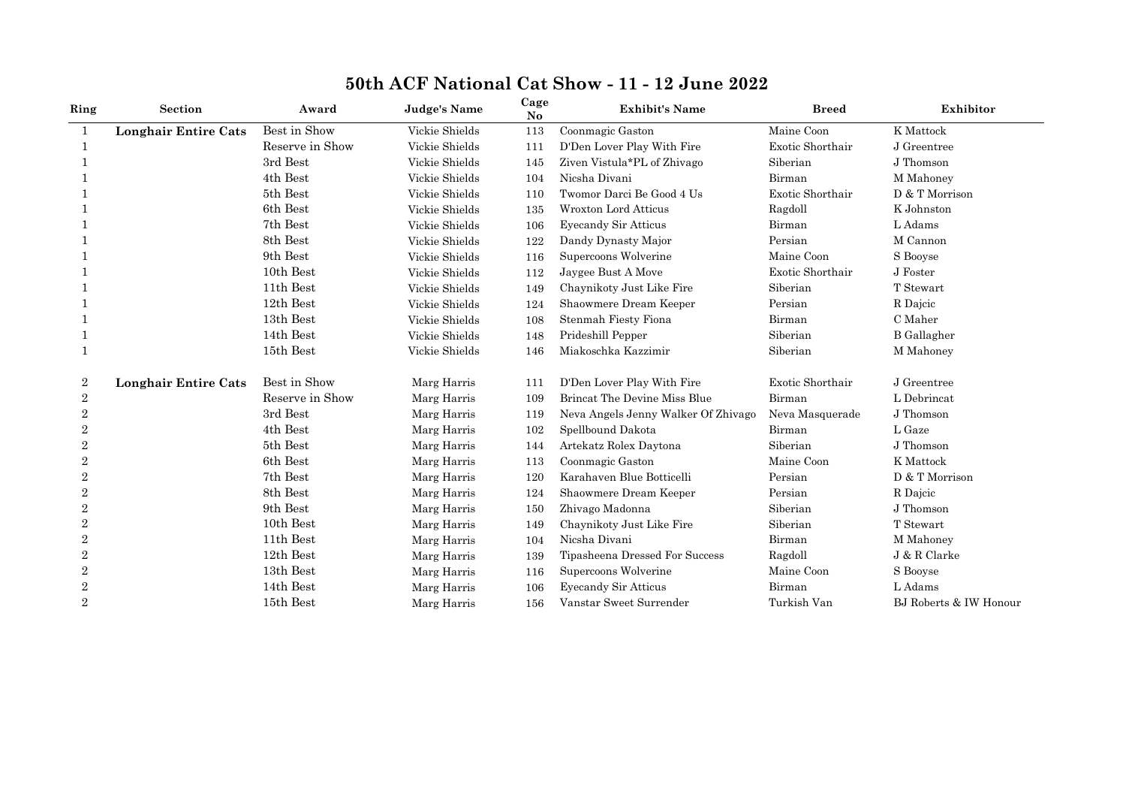| Ring           | <b>Section</b>              | Award           | <b>Judge's Name</b> | Cage<br>No | <b>Exhibit's Name</b>               | <b>Breed</b>     | Exhibitor              |
|----------------|-----------------------------|-----------------|---------------------|------------|-------------------------------------|------------------|------------------------|
| $\mathbf{1}$   | <b>Longhair Entire Cats</b> | Best in Show    | Vickie Shields      | 113        | Coonmagic Gaston                    | Maine Coon       | K Mattock              |
| $\mathbf 1$    |                             | Reserve in Show | Vickie Shields      | 111        | D'Den Lover Play With Fire          | Exotic Shorthair | J Greentree            |
| 1              |                             | 3rd Best        | Vickie Shields      | 145        | Ziven Vistula*PL of Zhivago         | Siberian         | J Thomson              |
|                |                             | 4th Best        | Vickie Shields      | 104        | Nicsha Divani                       | Birman           | M Mahoney              |
|                |                             | 5th Best        | Vickie Shields      | 110        | Twomor Darci Be Good 4 Us           | Exotic Shorthair | D & T Morrison         |
|                |                             | 6th Best        | Vickie Shields      | 135        | <b>Wroxton Lord Atticus</b>         | Ragdoll          | K Johnston             |
|                |                             | 7th Best        | Vickie Shields      | 106        | <b>Eyecandy Sir Atticus</b>         | Birman           | L Adams                |
|                |                             | 8th Best        | Vickie Shields      | 122        | Dandy Dynasty Major                 | Persian          | M Cannon               |
|                |                             | 9th Best        | Vickie Shields      | 116        | Supercoons Wolverine                | Maine Coon       | S Booyse               |
|                |                             | 10th Best       | Vickie Shields      | 112        | Jaygee Bust A Move                  | Exotic Shorthair | J Foster               |
|                |                             | 11th Best       | Vickie Shields      | 149        | Chaynikoty Just Like Fire           | Siberian         | T Stewart              |
|                |                             | 12th Best       | Vickie Shields      | 124        | Shaowmere Dream Keeper              | Persian          | R Dajcic               |
|                |                             | 13th Best       | Vickie Shields      | 108        | Stenmah Fiesty Fiona                | Birman           | $\mathrm C$ Maher      |
|                |                             | 14th Best       | Vickie Shields      | 148        | Prideshill Pepper                   | Siberian         | <b>B</b> Gallagher     |
| $\mathbf{1}$   |                             | 15th Best       | Vickie Shields      | 146        | Miakoschka Kazzimir                 | Siberian         | M Mahoney              |
| 2              | <b>Longhair Entire Cats</b> | Best in Show    | Marg Harris         | 111        | D'Den Lover Play With Fire          | Exotic Shorthair | J Greentree            |
| $\overline{2}$ |                             | Reserve in Show | Marg Harris         | 109        | <b>Brincat The Devine Miss Blue</b> | Birman           | L Debrincat            |
| $\overline{2}$ |                             | 3rd Best        | Marg Harris         | 119        | Neva Angels Jenny Walker Of Zhivago | Neva Masquerade  | J Thomson              |
| $\overline{2}$ |                             | 4th Best        | Marg Harris         | 102        | Spellbound Dakota                   | Birman           | L Gaze                 |
| $\overline{2}$ |                             | 5th Best        | Marg Harris         | 144        | Artekatz Rolex Daytona              | Siberian         | J Thomson              |
| $\overline{2}$ |                             | 6th Best        | Marg Harris         | 113        | Coonmagic Gaston                    | Maine Coon       | K Mattock              |
| $\overline{2}$ |                             | 7th Best        | Marg Harris         | 120        | Karahaven Blue Botticelli           | Persian          | D & T Morrison         |
| $\overline{2}$ |                             | 8th Best        | Marg Harris         | 124        | Shaowmere Dream Keeper              | Persian          | R Dajcic               |
| $\overline{2}$ |                             | 9th Best        | Marg Harris         | 150        | Zhivago Madonna                     | Siberian         | J Thomson              |
| $\overline{2}$ |                             | 10th Best       | Marg Harris         | 149        | Chaynikoty Just Like Fire           | Siberian         | T Stewart              |
| $\overline{2}$ |                             | 11th Best       | Marg Harris         | 104        | Nicsha Divani                       | Birman           | M Mahoney              |
| $\overline{2}$ |                             | 12th Best       | Marg Harris         | 139        | Tipasheena Dressed For Success      | Ragdoll          | J & R Clarke           |
| $\overline{2}$ |                             | 13th Best       | Marg Harris         | 116        | Supercoons Wolverine                | Maine Coon       | S Booyse               |
| $\overline{2}$ |                             | 14th Best       | Marg Harris         | 106        | <b>Eyecandy Sir Atticus</b>         | Birman           | L Adams                |
| $\overline{2}$ |                             | 15th Best       | Marg Harris         | 156        | Vanstar Sweet Surrender             | Turkish Van      | BJ Roberts & IW Honour |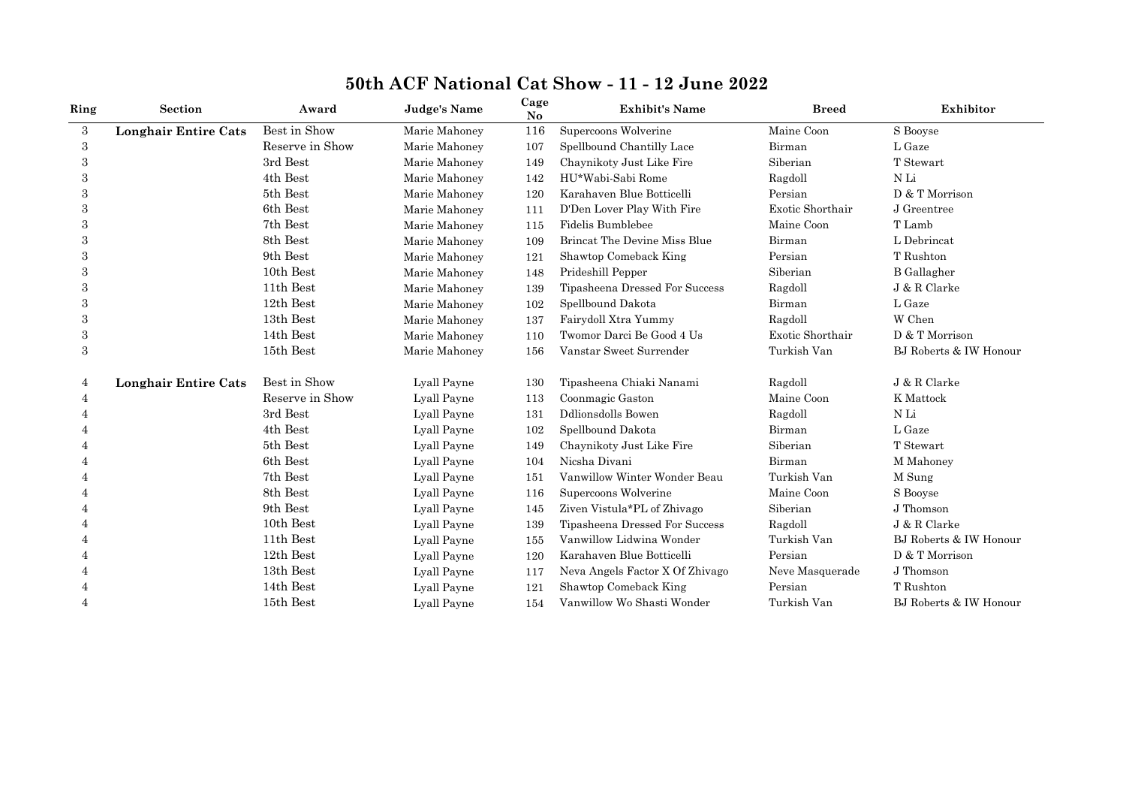| Ring | <b>Section</b>              | Award           | <b>Judge's Name</b> | Cage<br>No | <b>Exhibit's Name</b>               | <b>Breed</b>     | Exhibitor              |
|------|-----------------------------|-----------------|---------------------|------------|-------------------------------------|------------------|------------------------|
| 3    | <b>Longhair Entire Cats</b> | Best in Show    | Marie Mahoney       | 116        | Supercoons Wolverine                | Maine Coon       | S Booyse               |
| 3    |                             | Reserve in Show | Marie Mahoney       | 107        | Spellbound Chantilly Lace           | Birman           | L Gaze                 |
| 3    |                             | 3rd Best        | Marie Mahoney       | 149        | Chaynikoty Just Like Fire           | Siberian         | T Stewart              |
| 3    |                             | 4th Best        | Marie Mahoney       | 142        | HU*Wabi-Sabi Rome                   | Ragdoll          | N Li                   |
| 3    |                             | 5th Best        | Marie Mahoney       | 120        | Karahaven Blue Botticelli           | Persian          | D & T Morrison         |
| 3    |                             | 6th Best        | Marie Mahoney       | 111        | D'Den Lover Play With Fire          | Exotic Shorthair | J Greentree            |
| 3    |                             | 7th Best        | Marie Mahoney       | 115        | Fidelis Bumblebee                   | Maine Coon       | T Lamb                 |
| 3    |                             | 8th Best        | Marie Mahoney       | 109        | <b>Brincat The Devine Miss Blue</b> | Birman           | L Debrincat            |
| 3    |                             | 9th Best        | Marie Mahoney       | 121        | Shawtop Comeback King               | Persian          | T Rushton              |
|      |                             | 10th Best       | Marie Mahoney       | 148        | Prideshill Pepper                   | Siberian         | <b>B</b> Gallagher     |
| 3    |                             | 11th Best       | Marie Mahoney       | 139        | Tipasheena Dressed For Success      | Ragdoll          | J & R Clarke           |
| 3    |                             | 12th Best       | Marie Mahoney       | 102        | Spellbound Dakota                   | Birman           | L Gaze                 |
| 3    |                             | 13th Best       | Marie Mahoney       | 137        | Fairydoll Xtra Yummy                | Ragdoll          | W Chen                 |
| 3    |                             | 14th Best       | Marie Mahoney       | 110        | Twomor Darci Be Good 4 Us           | Exotic Shorthair | D & T Morrison         |
| 3    |                             | 15th Best       | Marie Mahoney       | 156        | Vanstar Sweet Surrender             | Turkish Van      | BJ Roberts & IW Honour |
| 4    | <b>Longhair Entire Cats</b> | Best in Show    | Lyall Payne         | 130        | Tipasheena Chiaki Nanami            | Ragdoll          | J & R Clarke           |
| 4    |                             | Reserve in Show | Lyall Payne         | 113        | Coonmagic Gaston                    | Maine Coon       | K Mattock              |
|      |                             | 3rd Best        | Lyall Payne         | 131        | <b>Ddlionsdolls Bowen</b>           | Ragdoll          | ${\rm N\,Li}$          |
|      |                             | 4th Best        | Lyall Payne         | 102        | Spellbound Dakota                   | Birman           | L Gaze                 |
| 4    |                             | 5th Best        | Lyall Payne         | 149        | Chaynikoty Just Like Fire           | Siberian         | T Stewart              |
|      |                             | 6th Best        | Lyall Payne         | 104        | Nicsha Divani                       | Birman           | M Mahoney              |
| Δ    |                             | 7th Best        | Lyall Payne         | 151        | Vanwillow Winter Wonder Beau        | Turkish Van      | M Sung                 |
| 4    |                             | 8th Best        | Lyall Payne         | 116        | Supercoons Wolverine                | Maine Coon       | S Booyse               |
| 4    |                             | 9th Best        | Lyall Payne         | 145        | Ziven Vistula*PL of Zhivago         | Siberian         | J Thomson              |
| 4    |                             | 10th Best       | Lyall Payne         | 139        | Tipasheena Dressed For Success      | Ragdoll          | J & R Clarke           |
|      |                             | 11th Best       | Lyall Payne         | 155        | Vanwillow Lidwina Wonder            | Turkish Van      | BJ Roberts & IW Honour |
| 4    |                             | 12th Best       | Lyall Payne         | 120        | Karahaven Blue Botticelli           | Persian          | D & T Morrison         |
| 4    |                             | 13th Best       | Lyall Payne         | 117        | Neva Angels Factor X Of Zhivago     | Neve Masquerade  | J Thomson              |
|      |                             | 14th Best       | Lyall Payne         | 121        | Shawtop Comeback King               | Persian          | T Rushton              |
| 4    |                             | 15th Best       | Lyall Payne         | 154        | Vanwillow Wo Shasti Wonder          | Turkish Van      | BJ Roberts & IW Honour |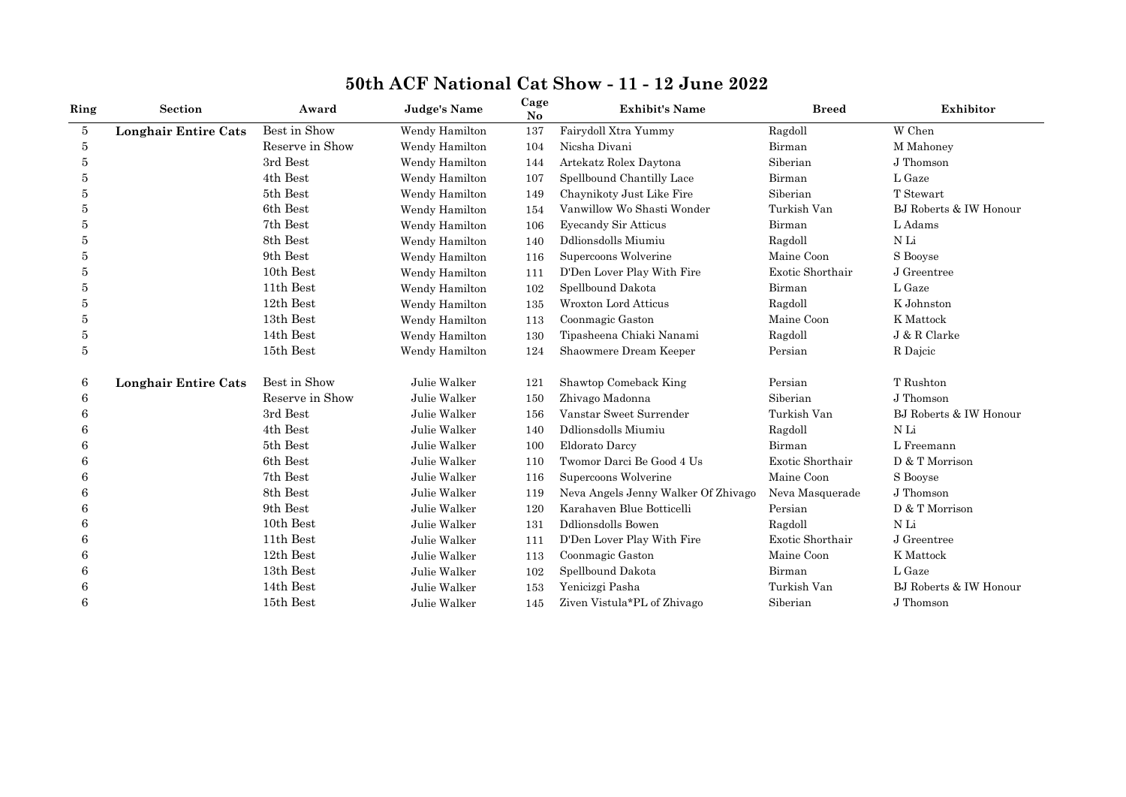| Ring | Section                     | Award           | Judge's Name   | Cage<br>N <sub>o</sub> | <b>Exhibit's Name</b>               | <b>Breed</b>     | Exhibitor              |
|------|-----------------------------|-----------------|----------------|------------------------|-------------------------------------|------------------|------------------------|
| 5    | <b>Longhair Entire Cats</b> | Best in Show    | Wendy Hamilton | 137                    | Fairydoll Xtra Yummy                | Ragdoll          | W Chen                 |
| 5    |                             | Reserve in Show | Wendy Hamilton | 104                    | Nicsha Divani                       | Birman           | M Mahoney              |
| 5    |                             | 3rd Best        | Wendy Hamilton | 144                    | Artekatz Rolex Daytona              | Siberian         | J Thomson              |
| 5    |                             | 4th Best        | Wendy Hamilton | 107                    | Spellbound Chantilly Lace           | Birman           | L Gaze                 |
| 5    |                             | 5th Best        | Wendy Hamilton | 149                    | Chaynikoty Just Like Fire           | Siberian         | T Stewart              |
| 5    |                             | 6th Best        | Wendy Hamilton | 154                    | Vanwillow Wo Shasti Wonder          | Turkish Van      | BJ Roberts & IW Honour |
| 5    |                             | 7th Best        | Wendy Hamilton | 106                    | <b>Eyecandy Sir Atticus</b>         | Birman           | L Adams                |
| 5    |                             | 8th Best        | Wendy Hamilton | 140                    | Ddlionsdolls Miumiu                 | Ragdoll          | N Li                   |
| 5    |                             | 9th Best        | Wendy Hamilton | 116                    | Supercoons Wolverine                | Maine Coon       | S Booyse               |
| 5    |                             | 10th Best       | Wendy Hamilton | 111                    | D'Den Lover Play With Fire          | Exotic Shorthair | J Greentree            |
| 5    |                             | 11th Best       | Wendy Hamilton | 102                    | Spellbound Dakota                   | Birman           | L Gaze                 |
| 5    |                             | 12th Best       | Wendy Hamilton | 135                    | <b>Wroxton Lord Atticus</b>         | Ragdoll          | K Johnston             |
| 5    |                             | 13th Best       | Wendy Hamilton | 113                    | Coonmagic Gaston                    | Maine Coon       | K Mattock              |
| 5    |                             | 14th Best       | Wendy Hamilton | 130                    | Tipasheena Chiaki Nanami            | Ragdoll          | J & R Clarke           |
| 5    |                             | 15th Best       | Wendy Hamilton | 124                    | Shaowmere Dream Keeper              | Persian          | R Dajcic               |
| 6    | <b>Longhair Entire Cats</b> | Best in Show    | Julie Walker   | 121                    | Shawtop Comeback King               | Persian          | T Rushton              |
| 6    |                             | Reserve in Show | Julie Walker   | 150                    | Zhivago Madonna                     | Siberian         | J Thomson              |
| 6    |                             | 3rd Best        | Julie Walker   | 156                    | Vanstar Sweet Surrender             | Turkish Van      | BJ Roberts & IW Honour |
| 6    |                             | 4th Best        | Julie Walker   | 140                    | Ddlionsdolls Miumiu                 | Ragdoll          | N Li                   |
| 6    |                             | 5th Best        | Julie Walker   | 100                    | Eldorato Darcy                      | Birman           | L Freemann             |
| 6    |                             | 6th Best        | Julie Walker   | 110                    | Twomor Darci Be Good 4 Us           | Exotic Shorthair | D & T Morrison         |
| 6    |                             | 7th Best        | Julie Walker   | 116                    | Supercoons Wolverine                | Maine Coon       | S Booyse               |
| 6    |                             | 8th Best        | Julie Walker   | 119                    | Neva Angels Jenny Walker Of Zhivago | Neva Masquerade  | J Thomson              |
| 6    |                             | 9th Best        | Julie Walker   | 120                    | Karahaven Blue Botticelli           | Persian          | D & T Morrison         |
| 6    |                             | 10th Best       | Julie Walker   | 131                    | <b>Ddlionsdolls Bowen</b>           | Ragdoll          | N Li                   |
|      |                             | 11th Best       | Julie Walker   | 111                    | D'Den Lover Play With Fire          | Exotic Shorthair | J Greentree            |
| 6    |                             | 12th Best       | Julie Walker   | 113                    | Coonmagic Gaston                    | Maine Coon       | K Mattock              |
| 6    |                             | 13th Best       | Julie Walker   | 102                    | Spellbound Dakota                   | Birman           | L Gaze                 |
| 6    |                             | 14th Best       | Julie Walker   | 153                    | Yenicizgi Pasha                     | Turkish Van      | BJ Roberts & IW Honour |
| 6    |                             | 15th Best       | Julie Walker   | 145                    | Ziven Vistula*PL of Zhivago         | Siberian         | J Thomson              |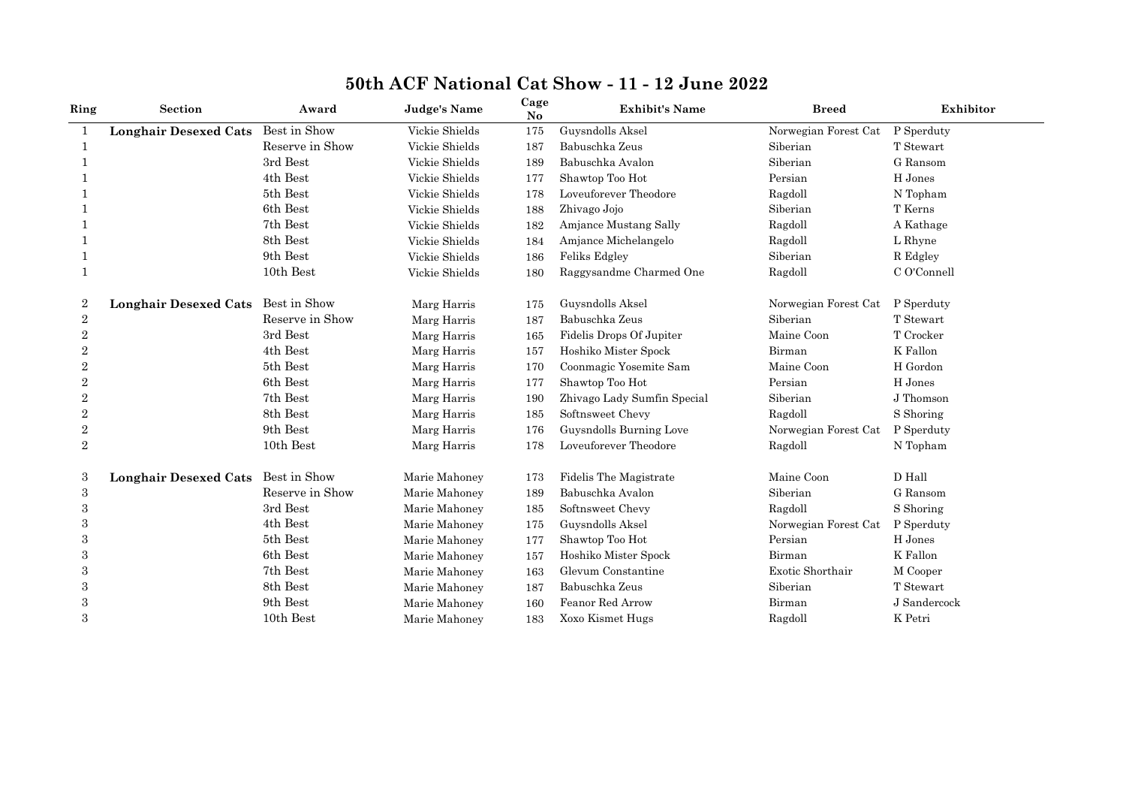| Ring             | Section                      | Award            | <b>Judge's Name</b> | Cage<br>No | <b>Exhibit's Name</b>       | <b>Breed</b>         | Exhibitor    |
|------------------|------------------------------|------------------|---------------------|------------|-----------------------------|----------------------|--------------|
| 1                | <b>Longhair Desexed Cats</b> | Best in Show     | Vickie Shields      | 175        | Guysndolls Aksel            | Norwegian Forest Cat | P Sperduty   |
| -1               |                              | Reserve in Show  | Vickie Shields      | 187        | Babuschka Zeus              | Siberian             | T Stewart    |
|                  |                              | 3rd Best         | Vickie Shields      | 189        | Babuschka Avalon            | Siberian             | G Ransom     |
|                  |                              | 4th Best         | Vickie Shields      | 177        | Shawtop Too Hot             | Persian              | H Jones      |
|                  |                              | 5th Best         | Vickie Shields      | 178        | Loveuforever Theodore       | Ragdoll              | N Topham     |
|                  |                              | 6th Best         | Vickie Shields      | 188        | Zhivago Jojo                | Siberian             | T Kerns      |
|                  |                              | 7th Best         | Vickie Shields      | 182        | Amjance Mustang Sally       | Ragdoll              | A Kathage    |
|                  |                              | 8th Best         | Vickie Shields      | 184        | Amjance Michelangelo        | Ragdoll              | L Rhyne      |
|                  |                              | 9th Best         | Vickie Shields      | 186        | Feliks Edgley               | Siberian             | R Edgley     |
|                  |                              | $10th$ Best $\,$ | Vickie Shields      | 180        | Raggysandme Charmed One     | Ragdoll              | C O'Connell  |
| $\boldsymbol{2}$ | <b>Longhair Desexed Cats</b> | Best in Show     | Marg Harris         | 175        | Guysndolls Aksel            | Norwegian Forest Cat | P Sperduty   |
| $\overline{2}$   |                              | Reserve in Show  | Marg Harris         | 187        | Babuschka Zeus              | Siberian             | T Stewart    |
| $\overline{2}$   |                              | 3rd Best         | Marg Harris         | 165        | Fidelis Drops Of Jupiter    | Maine Coon           | T Crocker    |
| $\overline{2}$   |                              | 4th Best         | Marg Harris         | 157        | Hoshiko Mister Spock        | Birman               | K Fallon     |
| $\overline{2}$   |                              | 5th Best         | Marg Harris         | 170        | Coonmagic Yosemite Sam      | Maine Coon           | H Gordon     |
| $\overline{2}$   |                              | 6th Best         | Marg Harris         | 177        | Shawtop Too Hot             | Persian              | H Jones      |
| 2                |                              | 7th Best         | Marg Harris         | 190        | Zhivago Lady Sumfin Special | Siberian             | J Thomson    |
| $\mathbf{2}$     |                              | 8th Best         | Marg Harris         | 185        | Softnsweet Chevy            | Ragdoll              | S Shoring    |
| $\,2$            |                              | 9th Best         | Marg Harris         | 176        | Guysndolls Burning Love     | Norwegian Forest Cat | P Sperduty   |
| $\overline{2}$   |                              | 10th Best        | Marg Harris         | 178        | Loveuforever Theodore       | Ragdoll              | N Topham     |
| 3                | <b>Longhair Desexed Cats</b> | Best in Show     | Marie Mahoney       | 173        | Fidelis The Magistrate      | Maine Coon           | D Hall       |
| $\,3$            |                              | Reserve in Show  | Marie Mahoney       | 189        | Babuschka Avalon            | Siberian             | G Ransom     |
| 3                |                              | 3rd Best         | Marie Mahoney       | 185        | Softnsweet Chevy            | Ragdoll              | S Shoring    |
| 3                |                              | 4th Best         | Marie Mahoney       | 175        | Guysndolls Aksel            | Norwegian Forest Cat | P Sperduty   |
| 3                |                              | 5th Best         | Marie Mahoney       | 177        | Shawtop Too Hot             | Persian              | H Jones      |
| 3                |                              | 6th Best         | Marie Mahoney       | 157        | Hoshiko Mister Spock        | Birman               | K Fallon     |
| 3                |                              | 7th Best         | Marie Mahoney       | 163        | Glevum Constantine          | Exotic Shorthair     | M Cooper     |
| 3                |                              | 8th Best         | Marie Mahoney       | 187        | Babuschka Zeus              | Siberian             | T Stewart    |
| 3                |                              | 9th Best         | Marie Mahoney       | 160        | Feanor Red Arrow            | Birman               | J Sandercock |
| 3                |                              | 10th Best        | Marie Mahoney       | 183        | Xoxo Kismet Hugs            | Ragdoll              | K Petri      |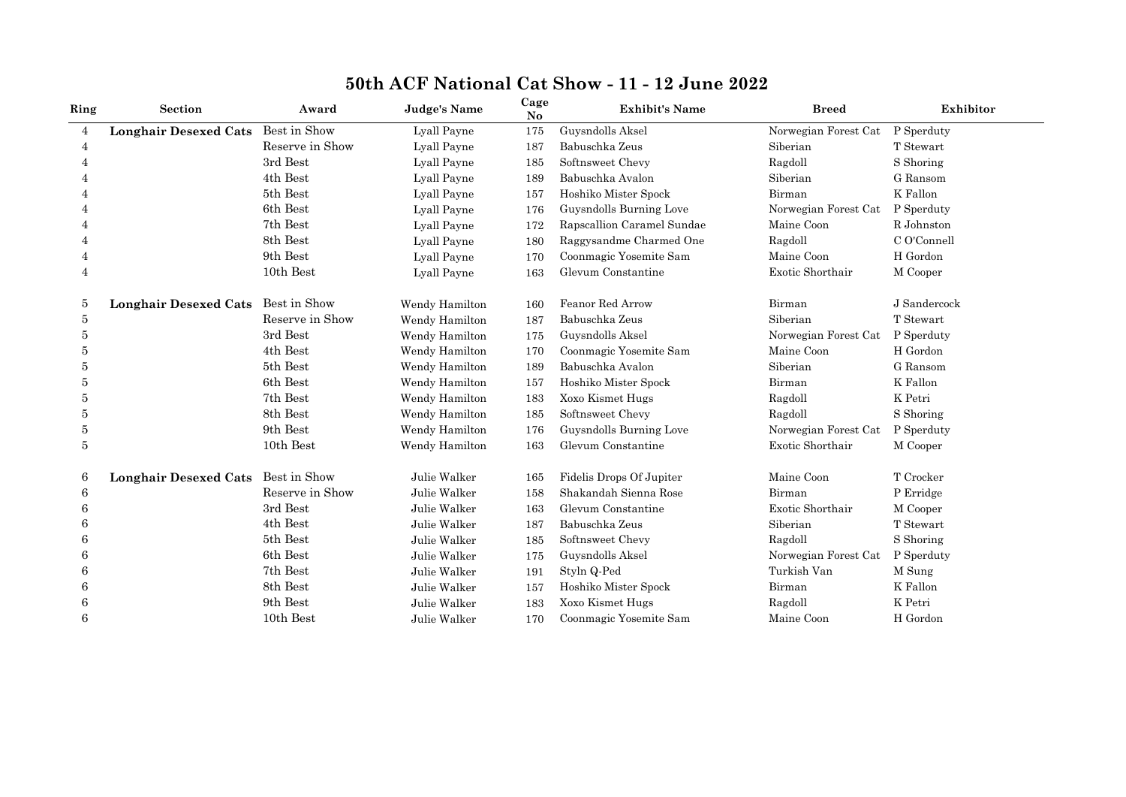| Ring           | Section                      | Award           | <b>Judge's Name</b> | Cage<br>N <sub>o</sub> | <b>Exhibit's Name</b>      | <b>Breed</b>         | Exhibitor    |
|----------------|------------------------------|-----------------|---------------------|------------------------|----------------------------|----------------------|--------------|
| $\overline{4}$ | <b>Longhair Desexed Cats</b> | Best in Show    | Lyall Payne         | 175                    | Guysndolls Aksel           | Norwegian Forest Cat | P Sperduty   |
| $\overline{4}$ |                              | Reserve in Show | Lyall Payne         | 187                    | Babuschka Zeus             | Siberian             | T Stewart    |
|                |                              | 3rd Best        | Lyall Payne         | 185                    | Softnsweet Chevy           | Ragdoll              | S Shoring    |
|                |                              | 4th Best        | Lyall Payne         | 189                    | Babuschka Avalon           | Siberian             | G Ransom     |
|                |                              | 5th Best        | Lyall Payne         | 157                    | Hoshiko Mister Spock       | Birman               | K Fallon     |
|                |                              | 6th Best        | Lyall Payne         | 176                    | Guysndolls Burning Love    | Norwegian Forest Cat | P Sperduty   |
|                |                              | 7th Best        | Lyall Payne         | 172                    | Rapscallion Caramel Sundae | Maine Coon           | R Johnston   |
|                |                              | 8th Best        | Lyall Payne         | 180                    | Raggysandme Charmed One    | Ragdoll              | C O'Connell  |
|                |                              | 9th Best        | Lyall Payne         | 170                    | Coonmagic Yosemite Sam     | Maine Coon           | H Gordon     |
| $\overline{4}$ |                              | 10th Best       | Lyall Payne         | 163                    | Glevum Constantine         | Exotic Shorthair     | M Cooper     |
| 5              | <b>Longhair Desexed Cats</b> | Best in Show    | Wendy Hamilton      | 160                    | Feanor Red Arrow           | Birman               | J Sandercock |
| 5              |                              | Reserve in Show | Wendy Hamilton      | 187                    | Babuschka Zeus             | Siberian             | T Stewart    |
| 5              |                              | 3rd Best        | Wendy Hamilton      | 175                    | Guysndolls Aksel           | Norwegian Forest Cat | P Sperduty   |
| 5              |                              | 4th Best        | Wendy Hamilton      | 170                    | Coonmagic Yosemite Sam     | Maine Coon           | H Gordon     |
| 5              |                              | 5th Best        | Wendy Hamilton      | 189                    | Babuschka Avalon           | Siberian             | G Ransom     |
| 5              |                              | 6th Best        | Wendy Hamilton      | 157                    | Hoshiko Mister Spock       | Birman               | K Fallon     |
| 5              |                              | 7th Best        | Wendy Hamilton      | 183                    | Xoxo Kismet Hugs           | Ragdoll              | K Petri      |
| 5              |                              | 8th Best        | Wendy Hamilton      | 185                    | Softnsweet Chevy           | Ragdoll              | S Shoring    |
| 5              |                              | 9th Best        | Wendy Hamilton      | 176                    | Guysndolls Burning Love    | Norwegian Forest Cat | P Sperduty   |
| 5              |                              | 10th Best       | Wendy Hamilton      | 163                    | Glevum Constantine         | Exotic Shorthair     | M Cooper     |
| 6              | <b>Longhair Desexed Cats</b> | Best in Show    | Julie Walker        | 165                    | Fidelis Drops Of Jupiter   | Maine Coon           | T Crocker    |
| 6              |                              | Reserve in Show | Julie Walker        | 158                    | Shakandah Sienna Rose      | Birman               | P Erridge    |
| 6              |                              | 3rd Best        | Julie Walker        | 163                    | Glevum Constantine         | Exotic Shorthair     | M Cooper     |
| 6              |                              | 4th Best        | Julie Walker        | 187                    | Babuschka Zeus             | Siberian             | T Stewart    |
| 6              |                              | 5th Best        | Julie Walker        | 185                    | Softnsweet Chevy           | Ragdoll              | S Shoring    |
|                |                              | 6th Best        | Julie Walker        | 175                    | Guysndolls Aksel           | Norwegian Forest Cat | P Sperduty   |
| 6              |                              | 7th Best        | Julie Walker        | 191                    | Styln Q-Ped                | Turkish Van          | M Sung       |
|                |                              | 8th Best        | Julie Walker        | 157                    | Hoshiko Mister Spock       | Birman               | K Fallon     |
|                |                              | 9th Best        | Julie Walker        | 183                    | Xoxo Kismet Hugs           | Ragdoll              | K Petri      |
| 6              |                              | 10th Best       | Julie Walker        | 170                    | Coonmagic Yosemite Sam     | Maine Coon           | H Gordon     |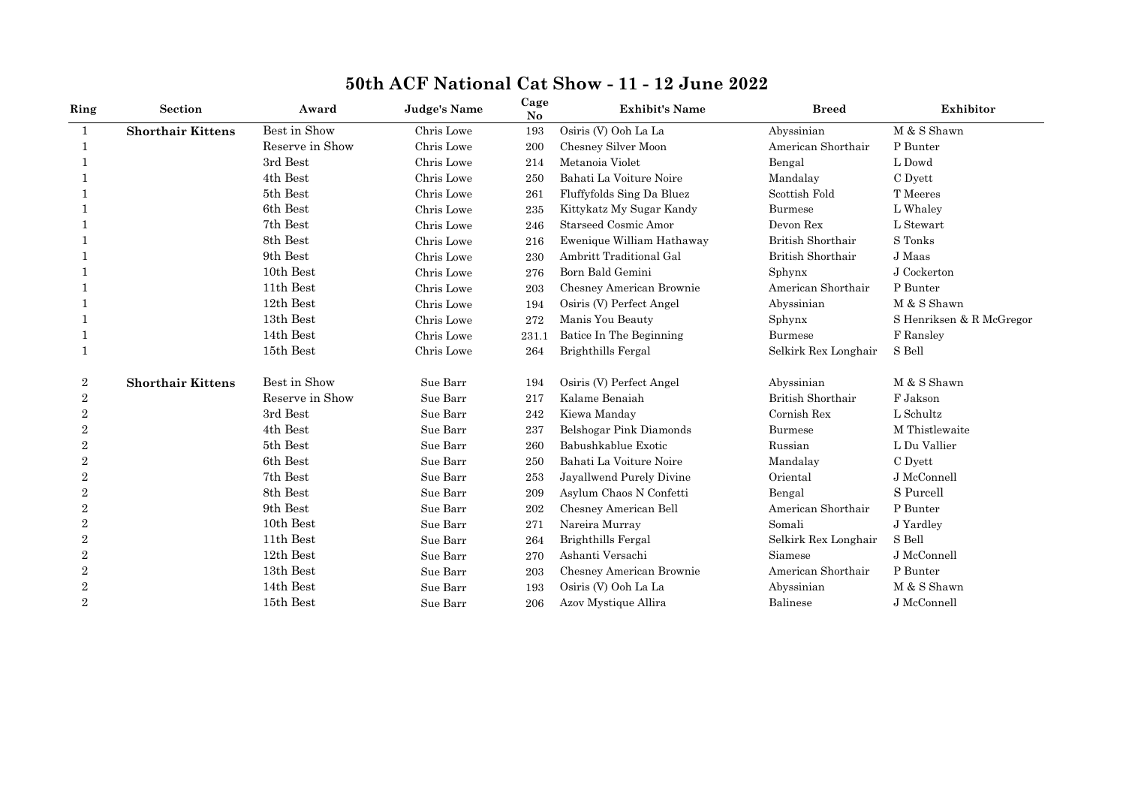| Ring           | Section                  | Award           | <b>Judge's Name</b> | Cage<br>No | <b>Exhibit's Name</b>       | <b>Breed</b>         | Exhibitor                |
|----------------|--------------------------|-----------------|---------------------|------------|-----------------------------|----------------------|--------------------------|
| 1              | <b>Shorthair Kittens</b> | Best in Show    | Chris Lowe          | 193        | Osiris (V) Ooh La La        | Abyssinian           | M & S Shawn              |
| 1              |                          | Reserve in Show | Chris Lowe          | 200        | Chesney Silver Moon         | American Shorthair   | P Bunter                 |
|                |                          | 3rd Best        | Chris Lowe          | 214        | Metanoia Violet             | Bengal               | L Dowd                   |
|                |                          | 4th Best        | Chris Lowe          | 250        | Bahati La Voiture Noire     | Mandalay             | C Dyett                  |
|                |                          | 5th Best        | Chris Lowe          | 261        | Fluffyfolds Sing Da Bluez   | Scottish Fold        | T Meeres                 |
|                |                          | 6th Best        | Chris Lowe          | 235        | Kittykatz My Sugar Kandy    | Burmese              | L Whaley                 |
|                |                          | 7th Best        | Chris Lowe          | 246        | <b>Starseed Cosmic Amor</b> | Devon Rex            | L Stewart                |
|                |                          | 8th Best        | Chris Lowe          | 216        | Ewenique William Hathaway   | British Shorthair    | S Tonks                  |
|                |                          | 9th Best        | Chris Lowe          | 230        | Ambritt Traditional Gal     | British Shorthair    | J Maas                   |
|                |                          | 10th Best       | Chris Lowe          | 276        | Born Bald Gemini            | Sphynx               | J Cockerton              |
|                |                          | 11th Best       | Chris Lowe          | 203        | Chesney American Brownie    | American Shorthair   | P Bunter                 |
|                |                          | 12th Best       | Chris Lowe          | 194        | Osiris (V) Perfect Angel    | Abyssinian           | M & S Shawn              |
|                |                          | 13th Best       | Chris Lowe          | 272        | Manis You Beauty            | Sphynx               | S Henriksen & R McGregor |
|                |                          | 14th Best       | Chris Lowe          | 231.1      | Batice In The Beginning     | <b>Burmese</b>       | F Ransley                |
|                |                          | 15th Best       | Chris Lowe          | 264        | Brighthills Fergal          | Selkirk Rex Longhair | S Bell                   |
| 2              | <b>Shorthair Kittens</b> | Best in Show    | Sue Barr            | 194        | Osiris (V) Perfect Angel    | Abyssinian           | M & S Shawn              |
| 2              |                          | Reserve in Show | Sue Barr            | 217        | Kalame Benaiah              | British Shorthair    | F Jakson                 |
| $\overline{2}$ |                          | 3rd Best        | Sue Barr            | 242        | Kiewa Manday                | Cornish Rex          | L Schultz                |
| $\overline{2}$ |                          | 4th Best        | Sue Barr            | 237        | Belshogar Pink Diamonds     | <b>Burmese</b>       | M Thistlewaite           |
| 2              |                          | 5th Best        | Sue Barr            | 260        | Babushkablue Exotic         | Russian              | L Du Vallier             |
| $\overline{2}$ |                          | 6th Best        | Sue Barr            | 250        | Bahati La Voiture Noire     | Mandalay             | C Dyett                  |
| $\overline{2}$ |                          | 7th Best        | Sue Barr            | 253        | Jayallwend Purely Divine    | Oriental             | J McConnell              |
| $\overline{2}$ |                          | 8th Best        | Sue Barr            | 209        | Asylum Chaos N Confetti     | Bengal               | S Purcell                |
| $\overline{2}$ |                          | 9th Best        | Sue Barr            | 202        | Chesney American Bell       | American Shorthair   | P Bunter                 |
| $\overline{2}$ |                          | 10th Best       | Sue Barr            | 271        | Nareira Murray              | Somali               | J Yardley                |
| $\overline{2}$ |                          | 11th Best       | Sue Barr            | 264        | Brighthills Fergal          | Selkirk Rex Longhair | S Bell                   |
| $\overline{2}$ |                          | 12th Best       | Sue Barr            | 270        | Ashanti Versachi            | Siamese              | J McConnell              |
| $\overline{2}$ |                          | 13th Best       | Sue Barr            | 203        | Chesney American Brownie    | American Shorthair   | P Bunter                 |
| $\overline{2}$ |                          | 14th Best       | Sue Barr            | 193        | Osiris (V) Ooh La La        | Abyssinian           | M & S Shawn              |
| $\overline{2}$ |                          | 15th Best       | Sue Barr            | 206        | Azov Mystique Allira        | Balinese             | J McConnell              |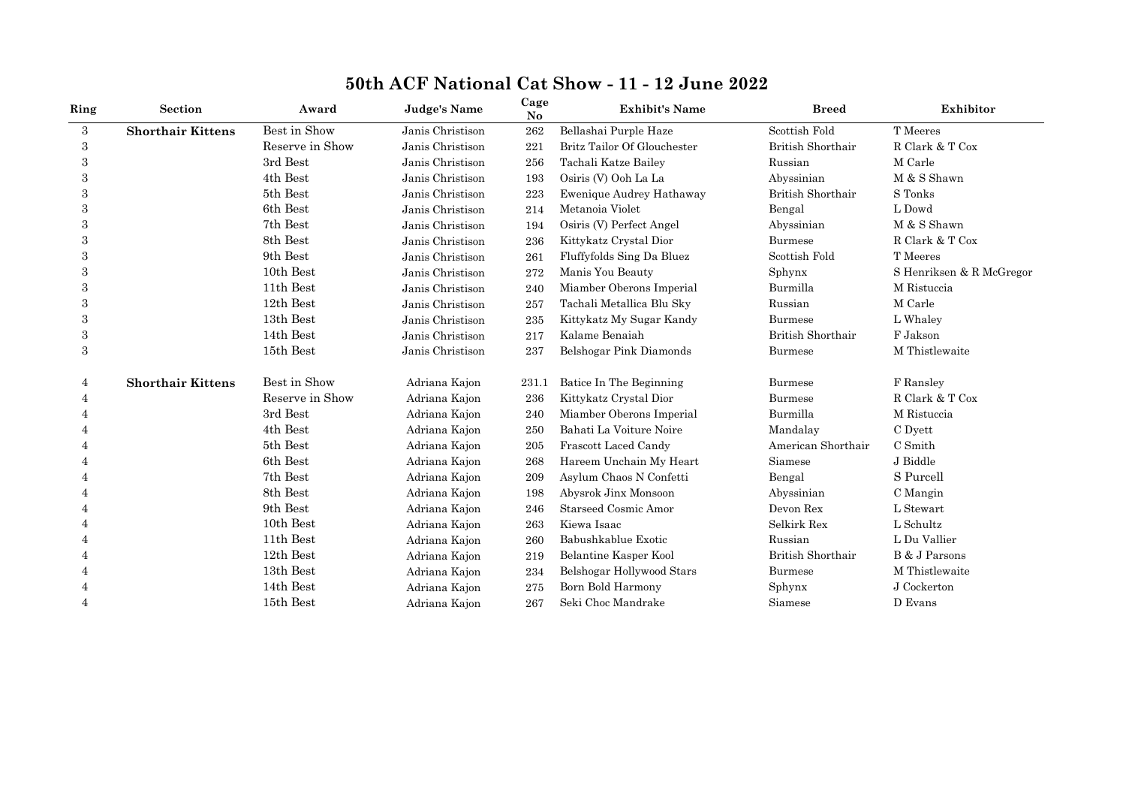| Ring           | Section                  | Award           | Judge's Name     | Cage<br>No | <b>Exhibit's Name</b>           | <b>Breed</b>             | Exhibitor                |
|----------------|--------------------------|-----------------|------------------|------------|---------------------------------|--------------------------|--------------------------|
| 3              | <b>Shorthair Kittens</b> | Best in Show    | Janis Christison | 262        | Bellashai Purple Haze           | Scottish Fold            | T Meeres                 |
| 3              |                          | Reserve in Show | Janis Christison | 221        | Britz Tailor Of Glouchester     | <b>British Shorthair</b> | R Clark & T Cox          |
| 3              |                          | 3rd Best        | Janis Christison | 256        | Tachali Katze Bailey            | Russian                  | M Carle                  |
| 3              |                          | 4th Best        | Janis Christison | 193        | Osiris (V) Ooh La La            | Abyssinian               | M & S Shawn              |
| 3              |                          | 5th Best        | Janis Christison | 223        | <b>Ewenique Audrey Hathaway</b> | <b>British Shorthair</b> | S Tonks                  |
| 3              |                          | 6th Best        | Janis Christison | 214        | Metanoia Violet                 | Bengal                   | L Dowd                   |
| 3              |                          | 7th Best        | Janis Christison | 194        | Osiris (V) Perfect Angel        | Abyssinian               | M & S Shawn              |
| 3              |                          | 8th Best        | Janis Christison | 236        | Kittykatz Crystal Dior          | Burmese                  | R Clark & T Cox          |
| 3              |                          | 9th Best        | Janis Christison | 261        | Fluffyfolds Sing Da Bluez       | Scottish Fold            | T Meeres                 |
| 3              |                          | 10th Best       | Janis Christison | 272        | Manis You Beauty                | Sphynx                   | S Henriksen & R McGregor |
| 3              |                          | 11th Best       | Janis Christison | 240        | Miamber Oberons Imperial        | Burmilla                 | M Ristuccia              |
| 3              |                          | 12th Best       | Janis Christison | 257        | Tachali Metallica Blu Sky       | Russian                  | M Carle                  |
| 3              |                          | 13th Best       | Janis Christison | 235        | Kittykatz My Sugar Kandy        | Burmese                  | L Whaley                 |
| $\,3$          |                          | 14th Best       | Janis Christison | 217        | Kalame Benaiah                  | British Shorthair        | F Jakson                 |
| $\sqrt{3}$     |                          | 15th Best       | Janis Christison | 237        | Belshogar Pink Diamonds         | Burmese                  | M Thistlewaite           |
| 4              | <b>Shorthair Kittens</b> | Best in Show    | Adriana Kajon    | 231.1      | Batice In The Beginning         | Burmese                  | F Ransley                |
| 4              |                          | Reserve in Show | Adriana Kajon    | 236        | Kittykatz Crystal Dior          | Burmese                  | R Clark & T Cox          |
| 4              |                          | 3rd Best        | Adriana Kajon    | 240        | Miamber Oberons Imperial        | Burmilla                 | M Ristuccia              |
|                |                          | 4th Best        | Adriana Kajon    | 250        | Bahati La Voiture Noire         | Mandalay                 | C Dyett                  |
|                |                          | 5th Best        | Adriana Kajon    | 205        | Frascott Laced Candy            | American Shorthair       | C Smith                  |
|                |                          | 6th Best        | Adriana Kajon    | 268        | Hareem Unchain My Heart         | Siamese                  | J Biddle                 |
|                |                          | 7th Best        | Adriana Kajon    | 209        | Asylum Chaos N Confetti         | Bengal                   | S Purcell                |
| 4              |                          | 8th Best        | Adriana Kajon    | 198        | Abysrok Jinx Monsoon            | Abyssinian               | C Mangin                 |
| 4              |                          | 9th Best        | Adriana Kajon    | 246        | <b>Starseed Cosmic Amor</b>     | Devon Rex                | L Stewart                |
| $\overline{4}$ |                          | 10th Best       | Adriana Kajon    | 263        | Kiewa Isaac                     | Selkirk Rex              | L Schultz                |
| $\overline{4}$ |                          | 11th Best       | Adriana Kajon    | 260        | Babushkablue Exotic             | Russian                  | L Du Vallier             |
|                |                          | 12th Best       | Adriana Kajon    | 219        | Belantine Kasper Kool           | <b>British Shorthair</b> | B & J Parsons            |
| $\overline{4}$ |                          | 13th Best       | Adriana Kajon    | 234        | Belshogar Hollywood Stars       | <b>Burmese</b>           | M Thistlewaite           |
| 4              |                          | 14th Best       | Adriana Kajon    | 275        | Born Bold Harmony               | Sphynx                   | J Cockerton              |
| $\overline{4}$ |                          | 15th Best       | Adriana Kajon    | 267        | Seki Choc Mandrake              | Siamese                  | D Evans                  |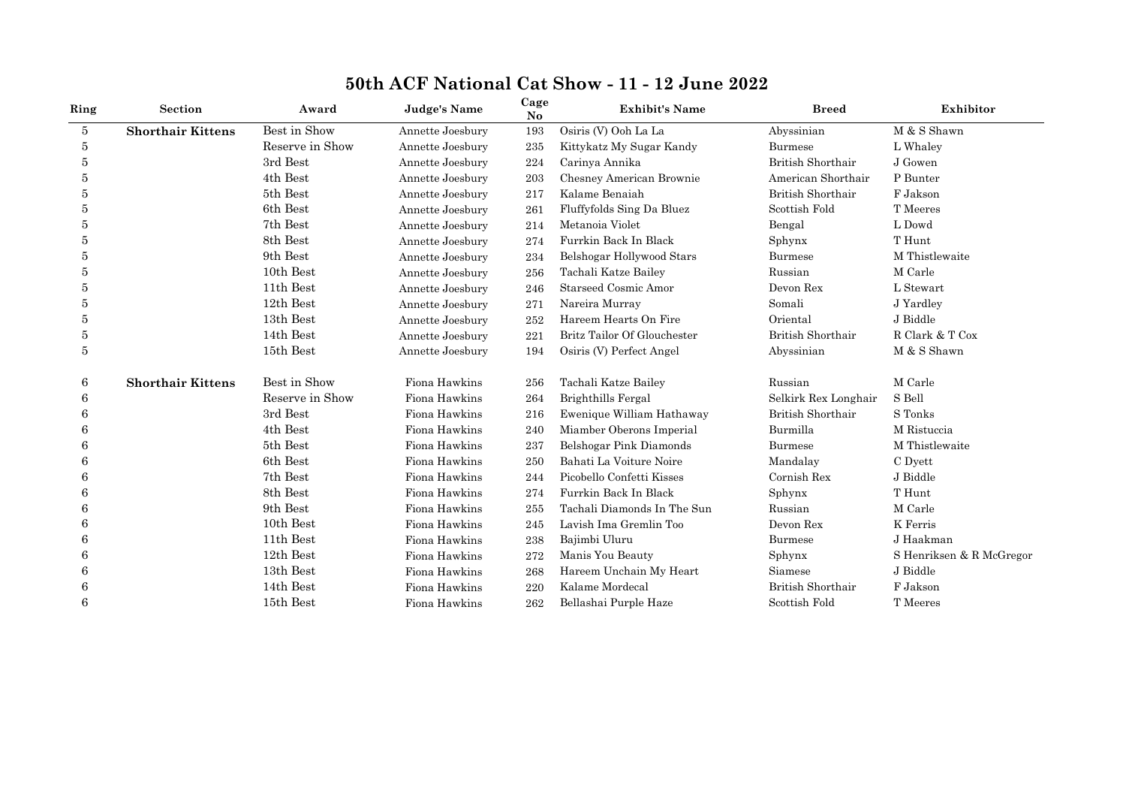| Ring           | <b>Section</b>           | Award           | <b>Judge's Name</b> | Cage<br>$\mathbf{N}\mathbf{o}$ | <b>Exhibit's Name</b>       | <b>Breed</b>             | Exhibitor                |
|----------------|--------------------------|-----------------|---------------------|--------------------------------|-----------------------------|--------------------------|--------------------------|
| $\overline{5}$ | <b>Shorthair Kittens</b> | Best in Show    | Annette Joesbury    | 193                            | Osiris (V) Ooh La La        | Abyssinian               | M & S Shawn              |
| 5              |                          | Reserve in Show | Annette Joesbury    | 235                            | Kittykatz My Sugar Kandy    | <b>Burmese</b>           | L Whaley                 |
| 5              |                          | 3rd Best        | Annette Joesbury    | 224                            | Carinya Annika              | <b>British Shorthair</b> | J Gowen                  |
| 5              |                          | 4th Best        | Annette Joesbury    | 203                            | Chesney American Brownie    | American Shorthair       | P Bunter                 |
| 5              |                          | 5th Best        | Annette Joesbury    | 217                            | Kalame Benaiah              | British Shorthair        | F Jakson                 |
| 5              |                          | 6th Best        | Annette Joesbury    | 261                            | Fluffyfolds Sing Da Bluez   | Scottish Fold            | T Meeres                 |
| 5              |                          | 7th Best        | Annette Joesbury    | 214                            | Metanoia Violet             | Bengal                   | L Dowd                   |
| 5              |                          | 8th Best        | Annette Joesbury    | 274                            | Furrkin Back In Black       | Sphynx                   | T Hunt                   |
| 5              |                          | 9th Best        | Annette Joesbury    | 234                            | Belshogar Hollywood Stars   | <b>Burmese</b>           | M Thistlewaite           |
| 5              |                          | 10th Best       | Annette Joesbury    | 256                            | Tachali Katze Bailey        | Russian                  | M Carle                  |
| 5              |                          | 11th Best       | Annette Joesbury    | 246                            | <b>Starseed Cosmic Amor</b> | Devon Rex                | L Stewart                |
| 5              |                          | 12th Best       | Annette Joesbury    | 271                            | Nareira Murray              | Somali                   | J Yardley                |
| 5              |                          | 13th Best       | Annette Joesbury    | 252                            | Hareem Hearts On Fire       | Oriental                 | J Biddle                 |
| 5              |                          | 14th Best       | Annette Joesbury    | 221                            | Britz Tailor Of Glouchester | British Shorthair        | R Clark & T Cox          |
| 5              |                          | 15th Best       | Annette Joesbury    | 194                            | Osiris (V) Perfect Angel    | Abyssinian               | M & S Shawn              |
| 6              | <b>Shorthair Kittens</b> | Best in Show    | Fiona Hawkins       | 256                            | Tachali Katze Bailey        | Russian                  | M Carle                  |
| 6              |                          | Reserve in Show | Fiona Hawkins       | 264                            | Brighthills Fergal          | Selkirk Rex Longhair     | S Bell                   |
| 6              |                          | 3rd Best        | Fiona Hawkins       | 216                            | Ewenique William Hathaway   | British Shorthair        | S Tonks                  |
| 6              |                          | 4th Best        | Fiona Hawkins       | 240                            | Miamber Oberons Imperial    | Burmilla                 | M Ristuccia              |
| 6              |                          | 5th Best        | Fiona Hawkins       | 237                            | Belshogar Pink Diamonds     | <b>Burmese</b>           | M Thistlewaite           |
| 6              |                          | 6th Best        | Fiona Hawkins       | 250                            | Bahati La Voiture Noire     | Mandalay                 | C Dyett                  |
| 6              |                          | 7th Best        | Fiona Hawkins       | 244                            | Picobello Confetti Kisses   | Cornish Rex              | J Biddle                 |
| 6              |                          | 8th Best        | Fiona Hawkins       | 274                            | Furrkin Back In Black       | Sphynx                   | T Hunt                   |
| 6              |                          | 9th Best        | Fiona Hawkins       | 255                            | Tachali Diamonds In The Sun | Russian                  | M Carle                  |
| 6              |                          | 10th Best       | Fiona Hawkins       | 245                            | Lavish Ima Gremlin Too      | Devon Rex                | K Ferris                 |
| 6              |                          | 11th Best       | Fiona Hawkins       | 238                            | Bajimbi Uluru               | Burmese                  | J Haakman                |
| 6              |                          | 12th Best       | Fiona Hawkins       | 272                            | Manis You Beauty            | Sphynx                   | S Henriksen & R McGregor |
| 6              |                          | 13th Best       | Fiona Hawkins       | 268                            | Hareem Unchain My Heart     | Siamese                  | J Biddle                 |
| 6              |                          | 14th Best       | Fiona Hawkins       | 220                            | Kalame Mordecal             | British Shorthair        | F Jakson                 |
| 6              |                          | 15th Best       | Fiona Hawkins       | 262                            | Bellashai Purple Haze       | Scottish Fold            | T Meeres                 |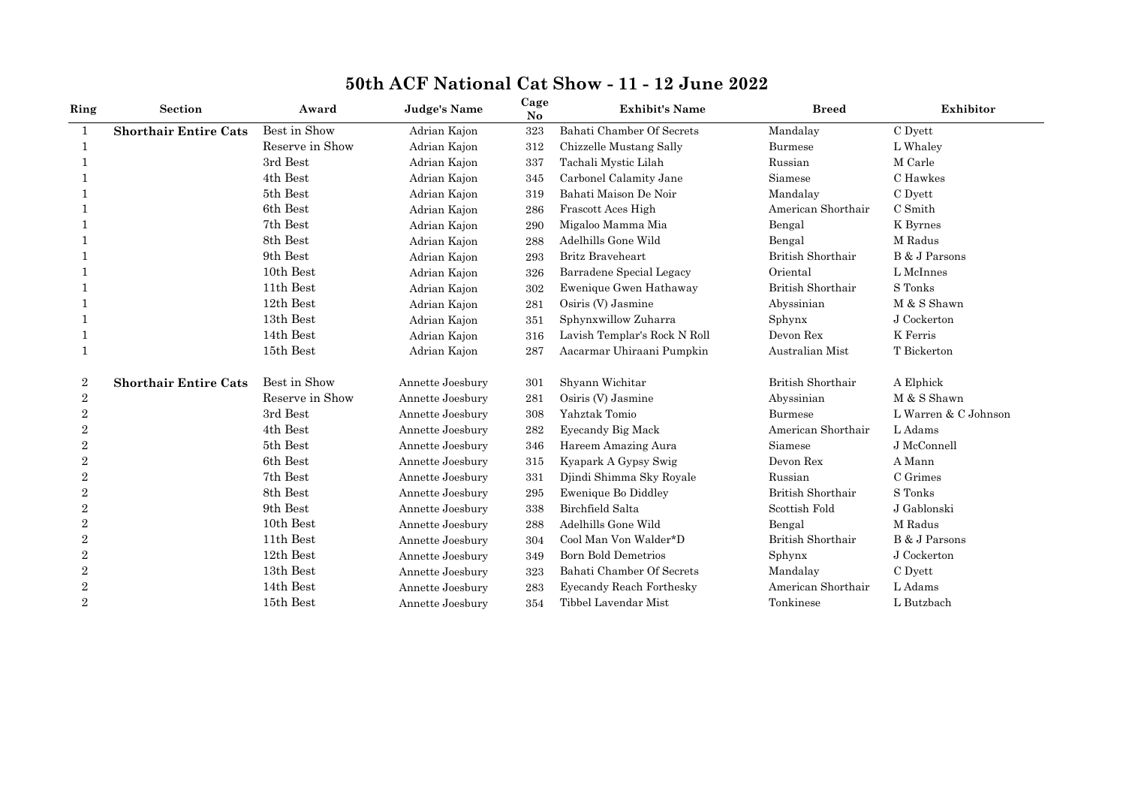| Ring           | <b>Section</b>               | Award           | <b>Judge's Name</b> | Cage<br>No | <b>Exhibit's Name</b>        | <b>Breed</b>             | Exhibitor            |
|----------------|------------------------------|-----------------|---------------------|------------|------------------------------|--------------------------|----------------------|
| $\mathbf{1}$   | <b>Shorthair Entire Cats</b> | Best in Show    | Adrian Kajon        | 323        | Bahati Chamber Of Secrets    | Mandalay                 | C Dyett              |
| -1             |                              | Reserve in Show | Adrian Kajon        | 312        | Chizzelle Mustang Sally      | Burmese                  | L Whaley             |
|                |                              | 3rd Best        | Adrian Kajon        | 337        | Tachali Mystic Lilah         | Russian                  | M Carle              |
|                |                              | 4th Best        | Adrian Kajon        | 345        | Carbonel Calamity Jane       | Siamese                  | C Hawkes             |
|                |                              | 5th Best        | Adrian Kajon        | 319        | Bahati Maison De Noir        | Mandalay                 | C Dyett              |
|                |                              | 6th Best        | Adrian Kajon        | 286        | Frascott Aces High           | American Shorthair       | C Smith              |
|                |                              | 7th Best        | Adrian Kajon        | 290        | Migaloo Mamma Mia            | Bengal                   | K Byrnes             |
|                |                              | 8th Best        | Adrian Kajon        | 288        | Adelhills Gone Wild          | Bengal                   | M Radus              |
|                |                              | 9th Best        | Adrian Kajon        | 293        | <b>Britz Braveheart</b>      | British Shorthair        | B & J Parsons        |
|                |                              | 10th Best       | Adrian Kajon        | 326        | Barradene Special Legacy     | Oriental                 | L McInnes            |
|                |                              | 11th Best       | Adrian Kajon        | 302        | Ewenique Gwen Hathaway       | British Shorthair        | S Tonks              |
|                |                              | 12th Best       | Adrian Kajon        | 281        | Osiris (V) Jasmine           | Abyssinian               | M & S Shawn          |
|                |                              | 13th Best       | Adrian Kajon        | 351        | Sphynxwillow Zuharra         | Sphynx                   | J Cockerton          |
|                |                              | 14th Best       | Adrian Kajon        | 316        | Lavish Templar's Rock N Roll | Devon Rex                | K Ferris             |
| 1              |                              | 15th Best       | Adrian Kajon        | 287        | Aacarmar Uhiraani Pumpkin    | Australian Mist          | T Bickerton          |
| 2              | <b>Shorthair Entire Cats</b> | Best in Show    | Annette Joesbury    | 301        | Shyann Wichitar              | British Shorthair        | A Elphick            |
| 2              |                              | Reserve in Show | Annette Joesbury    | 281        | Osiris (V) Jasmine           | Abyssinian               | M & S Shawn          |
| $\overline{2}$ |                              | 3rd Best        | Annette Joesbury    | 308        | Yahztak Tomio                | <b>Burmese</b>           | L Warren & C Johnson |
| $\overline{2}$ |                              | 4th Best        | Annette Joesbury    | 282        | Eyecandy Big Mack            | American Shorthair       | L Adams              |
| $\overline{2}$ |                              | 5th Best        | Annette Joesbury    | 346        | Hareem Amazing Aura          | Siamese                  | J McConnell          |
| $\overline{2}$ |                              | 6th Best        | Annette Joesbury    | 315        | Kyapark A Gypsy Swig         | Devon Rex                | A Mann               |
| $\overline{2}$ |                              | 7th Best        | Annette Joesbury    | 331        | Djindi Shimma Sky Royale     | Russian                  | C Grimes             |
| 2              |                              | 8th Best        | Annette Joesbury    | 295        | Ewenique Bo Diddley          | British Shorthair        | S Tonks              |
| $\overline{2}$ |                              | 9th Best        | Annette Joesbury    | 338        | Birchfield Salta             | Scottish Fold            | J Gablonski          |
| 2              |                              | 10th Best       | Annette Joesbury    | 288        | Adelhills Gone Wild          | Bengal                   | M Radus              |
| $\overline{2}$ |                              | 11th Best       | Annette Joesbury    | 304        | Cool Man Von Walder*D        | <b>British Shorthair</b> | B & J Parsons        |
| $\overline{2}$ |                              | 12th Best       | Annette Joesbury    | 349        | <b>Born Bold Demetrios</b>   | Sphynx                   | J Cockerton          |
| $\overline{2}$ |                              | 13th Best       | Annette Joesbury    | 323        | Bahati Chamber Of Secrets    | Mandalay                 | C Dyett              |
| $\overline{2}$ |                              | 14th Best       | Annette Joesbury    | 283        | Eyecandy Reach Forthesky     | American Shorthair       | L Adams              |
| $\overline{2}$ |                              | 15th Best       | Annette Joesbury    | 354        | Tibbel Lavendar Mist         | Tonkinese                | L Butzbach           |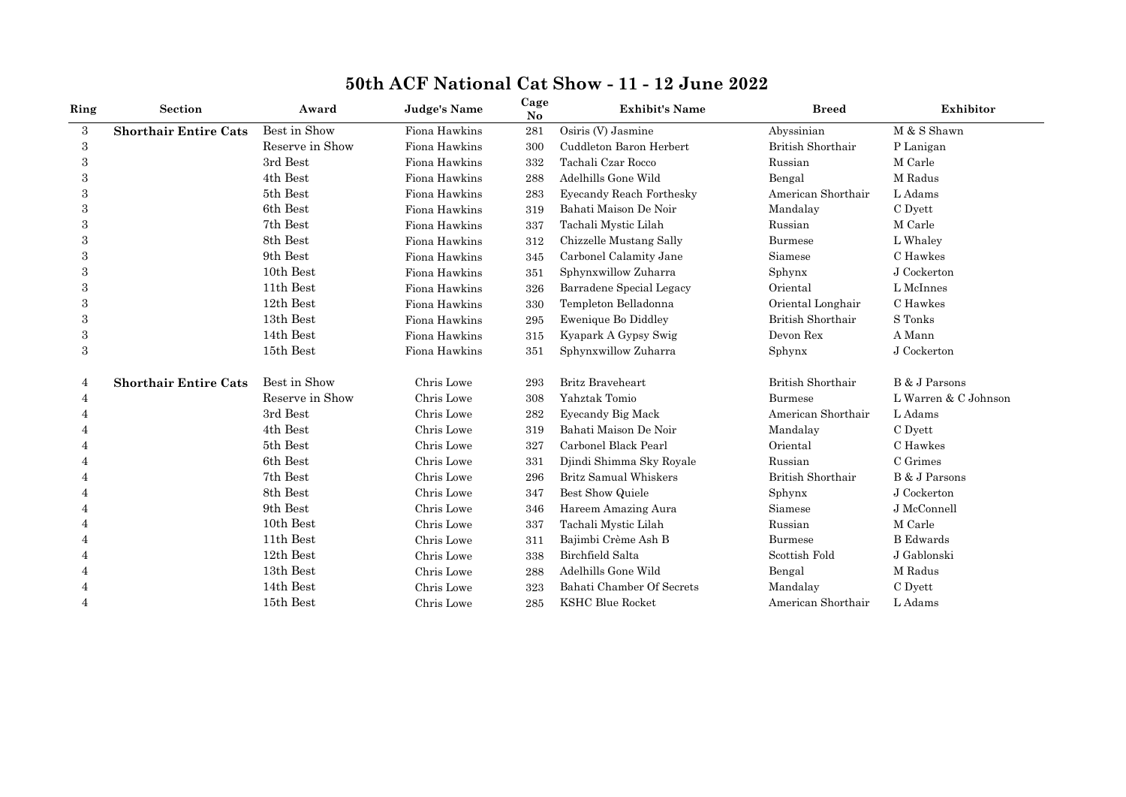| Ring             | Section                      | Award           | <b>Judge's Name</b> | Cage<br>No | <b>Exhibit's Name</b>     | <b>Breed</b>             | Exhibitor            |
|------------------|------------------------------|-----------------|---------------------|------------|---------------------------|--------------------------|----------------------|
| 3                | <b>Shorthair Entire Cats</b> | Best in Show    | Fiona Hawkins       | 281        | Osiris (V) Jasmine        | Abyssinian               | M & S Shawn          |
| 3                |                              | Reserve in Show | Fiona Hawkins       | 300        | Cuddleton Baron Herbert   | British Shorthair        | P Lanigan            |
| 3                |                              | 3rd Best        | Fiona Hawkins       | 332        | Tachali Czar Rocco        | Russian                  | M Carle              |
| 3                |                              | 4th Best        | Fiona Hawkins       | 288        | Adelhills Gone Wild       | Bengal                   | M Radus              |
| 3                |                              | 5th Best        | Fiona Hawkins       | 283        | Eyecandy Reach Forthesky  | American Shorthair       | L Adams              |
| 3                |                              | 6th Best        | Fiona Hawkins       | 319        | Bahati Maison De Noir     | Mandalay                 | C Dyett              |
| 3                |                              | 7th Best        | Fiona Hawkins       | 337        | Tachali Mystic Lilah      | Russian                  | M Carle              |
| 3                |                              | 8th Best        | Fiona Hawkins       | 312        | Chizzelle Mustang Sally   | <b>Burmese</b>           | L Whaley             |
| 3                |                              | 9th Best        | Fiona Hawkins       | 345        | Carbonel Calamity Jane    | Siamese                  | C Hawkes             |
|                  |                              | 10th Best       | Fiona Hawkins       | 351        | Sphynxwillow Zuharra      | Sphynx                   | J Cockerton          |
| 3                |                              | 11th Best       | Fiona Hawkins       | 326        | Barradene Special Legacy  | Oriental                 | L McInnes            |
| 3                |                              | 12th Best       | Fiona Hawkins       | 330        | Templeton Belladonna      | Oriental Longhair        | C Hawkes             |
| 3                |                              | 13th Best       | Fiona Hawkins       | 295        | Ewenique Bo Diddley       | British Shorthair        | S Tonks              |
| 3                |                              | 14th Best       | Fiona Hawkins       | 315        | Kyapark A Gypsy Swig      | Devon Rex                | A Mann               |
| $\boldsymbol{3}$ |                              | 15th Best       | Fiona Hawkins       | 351        | Sphynxwillow Zuharra      | Sphynx                   | J Cockerton          |
| 4                | <b>Shorthair Entire Cats</b> | Best in Show    | Chris Lowe          | 293        | <b>Britz Braveheart</b>   | <b>British Shorthair</b> | B & J Parsons        |
| 4                |                              | Reserve in Show | Chris Lowe          | 308        | Yahztak Tomio             | Burmese                  | L Warren & C Johnson |
|                  |                              | 3rd Best        | Chris Lowe          | 282        | Eyecandy Big Mack         | American Shorthair       | L Adams              |
|                  |                              | 4th Best        | Chris Lowe          | 319        | Bahati Maison De Noir     | Mandalay                 | C Dyett              |
|                  |                              | 5th Best        | Chris Lowe          | 327        | Carbonel Black Pearl      | Oriental                 | C Hawkes             |
|                  |                              | 6th Best        | Chris Lowe          | 331        | Djindi Shimma Sky Royale  | Russian                  | C Grimes             |
| 4                |                              | 7th Best        | Chris Lowe          | 296        | Britz Samual Whiskers     | British Shorthair        | B & J Parsons        |
|                  |                              | 8th Best        | Chris Lowe          | 347        | Best Show Quiele          | Sphynx                   | J Cockerton          |
|                  |                              | 9th Best        | Chris Lowe          | 346        | Hareem Amazing Aura       | Siamese                  | J McConnell          |
|                  |                              | 10th Best       | Chris Lowe          | 337        | Tachali Mystic Lilah      | Russian                  | M Carle              |
|                  |                              | 11th Best       | Chris Lowe          | 311        | Bajimbi Crème Ash B       | Burmese                  | <b>B</b> Edwards     |
|                  |                              | 12th Best       | Chris Lowe          | 338        | Birchfield Salta          | Scottish Fold            | J Gablonski          |
|                  |                              | 13th Best       | Chris Lowe          | 288        | Adelhills Gone Wild       | Bengal                   | M Radus              |
|                  |                              | 14th Best       | Chris Lowe          | 323        | Bahati Chamber Of Secrets | Mandalay                 | C Dyett              |
| 4                |                              | 15th Best       | Chris Lowe          | 285        | <b>KSHC Blue Rocket</b>   | American Shorthair       | L Adams              |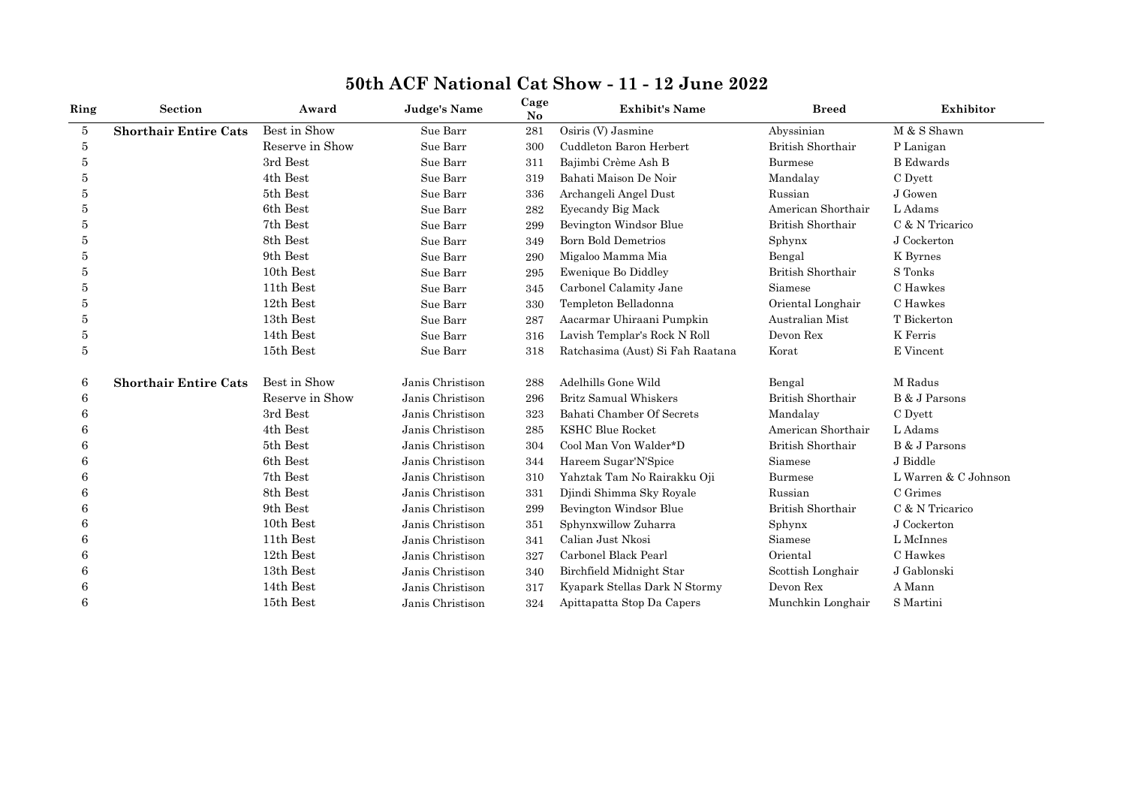| Ring | <b>Section</b>               | Award           | <b>Judge's Name</b> | Cage<br>No | <b>Exhibit's Name</b>            | <b>Breed</b>             | Exhibitor            |
|------|------------------------------|-----------------|---------------------|------------|----------------------------------|--------------------------|----------------------|
| 5    | <b>Shorthair Entire Cats</b> | Best in Show    | Sue Barr            | 281        | Osiris (V) Jasmine               | Abyssinian               | M & S Shawn          |
| 5    |                              | Reserve in Show | Sue Barr            | 300        | Cuddleton Baron Herbert          | British Shorthair        | P Lanigan            |
| 5    |                              | 3rd Best        | Sue Barr            | 311        | Bajimbi Crème Ash B              | Burmese                  | <b>B</b> Edwards     |
| 5    |                              | 4th Best        | Sue Barr            | 319        | Bahati Maison De Noir            | Mandalay                 | C Dyett              |
| 5    |                              | 5th Best        | Sue Barr            | 336        | Archangeli Angel Dust            | Russian                  | J Gowen              |
| 5    |                              | 6th Best        | Sue Barr            | 282        | Eyecandy Big Mack                | American Shorthair       | L Adams              |
| 5    |                              | 7th Best        | Sue Barr            | 299        | Bevington Windsor Blue           | <b>British Shorthair</b> | C & N Tricarico      |
| 5    |                              | 8th Best        | Sue Barr            | 349        | <b>Born Bold Demetrios</b>       | Sphynx                   | J Cockerton          |
| 5    |                              | 9th Best        | Sue Barr            | 290        | Migaloo Mamma Mia                | Bengal                   | K Byrnes             |
| 5    |                              | 10th Best       | Sue Barr            | 295        | <b>Ewenique Bo Diddley</b>       | British Shorthair        | S Tonks              |
|      |                              | 11th Best       | Sue Barr            | 345        | Carbonel Calamity Jane           | Siamese                  | C Hawkes             |
| 5    |                              | 12th Best       | Sue Barr            | 330        | Templeton Belladonna             | Oriental Longhair        | C Hawkes             |
| 5    |                              | 13th Best       | Sue Barr            | 287        | Aacarmar Uhiraani Pumpkin        | Australian Mist          | T Bickerton          |
| 5    |                              | 14th Best       | Sue Barr            | 316        | Lavish Templar's Rock N Roll     | Devon Rex                | K Ferris             |
| 5    |                              | 15th Best       | Sue Barr            | 318        | Ratchasima (Aust) Si Fah Raatana | Korat                    | E Vincent            |
| 6    | <b>Shorthair Entire Cats</b> | Best in Show    | Janis Christison    | 288        | Adelhills Gone Wild              | Bengal                   | M Radus              |
| 6    |                              | Reserve in Show | Janis Christison    | 296        | Britz Samual Whiskers            | British Shorthair        | B & J Parsons        |
|      |                              | 3rd Best        | Janis Christison    | 323        | Bahati Chamber Of Secrets        | Mandalay                 | C Dyett              |
|      |                              | 4th Best        | Janis Christison    | 285        | <b>KSHC Blue Rocket</b>          | American Shorthair       | L Adams              |
|      |                              | 5th Best        | Janis Christison    | 304        | Cool Man Von Walder*D            | <b>British Shorthair</b> | B & J Parsons        |
|      |                              | 6th Best        | Janis Christison    | 344        | Hareem Sugar'N'Spice             | Siamese                  | J Biddle             |
| 6    |                              | 7th Best        | Janis Christison    | 310        | Yahztak Tam No Rairakku Oji      | <b>Burmese</b>           | L Warren & C Johnson |
|      |                              | 8th Best        | Janis Christison    | 331        | Djindi Shimma Sky Royale         | Russian                  | C Grimes             |
| 6    |                              | 9th Best        | Janis Christison    | 299        | Bevington Windsor Blue           | British Shorthair        | C & N Tricarico      |
| 6    |                              | 10th Best       | Janis Christison    | 351        | Sphynxwillow Zuharra             | Sphynx                   | J Cockerton          |
|      |                              | 11th Best       | Janis Christison    | 341        | Calian Just Nkosi                | Siamese                  | L McInnes            |
|      |                              | 12th Best       | Janis Christison    | 327        | Carbonel Black Pearl             | Oriental                 | C Hawkes             |
| 6    |                              | 13th Best       | Janis Christison    | 340        | Birchfield Midnight Star         | Scottish Longhair        | J Gablonski          |
| 6    |                              | 14th Best       | Janis Christison    | 317        | Kyapark Stellas Dark N Stormy    | Devon Rex                | A Mann               |
| 6    |                              | 15th Best       | Janis Christison    | 324        | Apittapatta Stop Da Capers       | Munchkin Longhair        | S Martini            |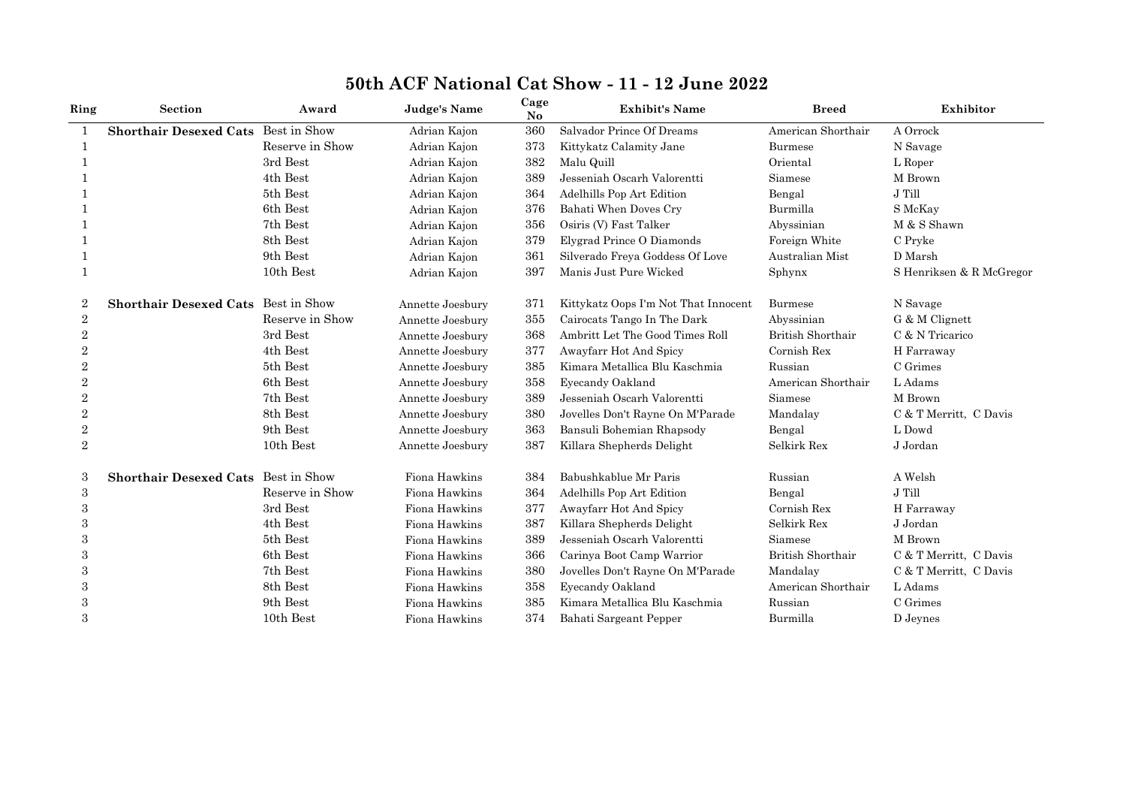| Ring           | <b>Section</b>                      | Award           | Judge's Name     | Cage<br>N <sub>o</sub> | <b>Exhibit's Name</b>                | <b>Breed</b>       | Exhibitor                |
|----------------|-------------------------------------|-----------------|------------------|------------------------|--------------------------------------|--------------------|--------------------------|
| 1              | <b>Shorthair Desexed Cats</b>       | Best in Show    | Adrian Kajon     | 360                    | Salvador Prince Of Dreams            | American Shorthair | A Orrock                 |
| 1              |                                     | Reserve in Show | Adrian Kajon     | 373                    | Kittykatz Calamity Jane              | <b>Burmese</b>     | N Savage                 |
|                |                                     | 3rd Best        | Adrian Kajon     | 382                    | Malu Quill                           | Oriental           | L Roper                  |
|                |                                     | 4th Best        | Adrian Kajon     | 389                    | Jesseniah Oscarh Valorentti          | Siamese            | M Brown                  |
|                |                                     | 5th Best        | Adrian Kajon     | 364                    | Adelhills Pop Art Edition            | Bengal             | J Till                   |
|                |                                     | 6th Best        | Adrian Kajon     | 376                    | Bahati When Doves Cry                | Burmilla           | S McKay                  |
|                |                                     | 7th Best        | Adrian Kajon     | 356                    | Osiris (V) Fast Talker               | Abyssinian         | M & S Shawn              |
|                |                                     | 8th Best        | Adrian Kajon     | 379                    | Elygrad Prince O Diamonds            | Foreign White      | C Pryke                  |
|                |                                     | 9th Best        | Adrian Kajon     | 361                    | Silverado Freya Goddess Of Love      | Australian Mist    | D Marsh                  |
|                |                                     | 10th Best       | Adrian Kajon     | 397                    | Manis Just Pure Wicked               | Sphynx             | S Henriksen & R McGregor |
| 2              | Shorthair Desexed Cats Best in Show |                 | Annette Joesbury | 371                    | Kittykatz Oops I'm Not That Innocent | <b>Burmese</b>     | N Savage                 |
| $\overline{2}$ |                                     | Reserve in Show | Annette Joesbury | 355                    | Cairocats Tango In The Dark          | Abyssinian         | G & M Clignett           |
| $\overline{2}$ |                                     | 3rd Best        | Annette Joesbury | 368                    | Ambritt Let The Good Times Roll      | British Shorthair  | C & N Tricarico          |
| $\overline{2}$ |                                     | 4th Best        | Annette Joesbury | 377                    | Awayfarr Hot And Spicy               | Cornish Rex        | H Farraway               |
| $\overline{2}$ |                                     | 5th Best        | Annette Joesbury | 385                    | Kimara Metallica Blu Kaschmia        | Russian            | C Grimes                 |
| $\overline{2}$ |                                     | 6th Best        | Annette Joesbury | 358                    | Eyecandy Oakland                     | American Shorthair | L Adams                  |
| 2              |                                     | 7th Best        | Annette Joesbury | 389                    | Jesseniah Oscarh Valorentti          | Siamese            | M Brown                  |
| $\,2$          |                                     | 8th Best        | Annette Joesbury | 380                    | Jovelles Don't Rayne On M'Parade     | Mandalay           | C & T Merritt, C Davis   |
| $\,2$          |                                     | 9th Best        | Annette Joesbury | 363                    | Bansuli Bohemian Rhapsody            | Bengal             | L Dowd                   |
| $\overline{2}$ |                                     | 10th Best       | Annette Joesbury | 387                    | Killara Shepherds Delight            | Selkirk Rex        | J Jordan                 |
| 3              | Shorthair Desexed Cats Best in Show |                 | Fiona Hawkins    | 384                    | Babushkablue Mr Paris                | Russian            | A Welsh                  |
| $\,3$          |                                     | Reserve in Show | Fiona Hawkins    | 364                    | Adelhills Pop Art Edition            | Bengal             | J Till                   |
| 3              |                                     | 3rd Best        | Fiona Hawkins    | 377                    | Awayfarr Hot And Spicy               | Cornish Rex        | H Farraway               |
| 3              |                                     | 4th Best        | Fiona Hawkins    | 387                    | Killara Shepherds Delight            | Selkirk Rex        | J Jordan                 |
| 3              |                                     | 5th Best        | Fiona Hawkins    | 389                    | Jesseniah Oscarh Valorentti          | Siamese            | M Brown                  |
| 3              |                                     | 6th Best        | Fiona Hawkins    | 366                    | Carinya Boot Camp Warrior            | British Shorthair  | C & T Merritt, C Davis   |
| 3              |                                     | 7th Best        | Fiona Hawkins    | 380                    | Jovelles Don't Rayne On M'Parade     | Mandalay           | C & T Merritt, C Davis   |
| 3              |                                     | 8th Best        | Fiona Hawkins    | 358                    | Eyecandy Oakland                     | American Shorthair | L Adams                  |
| 3              |                                     | 9th Best        | Fiona Hawkins    | 385                    | Kimara Metallica Blu Kaschmia        | Russian            | C Grimes                 |
| 3              |                                     | 10th Best       | Fiona Hawkins    | 374                    | Bahati Sargeant Pepper               | Burmilla           | D Jeynes                 |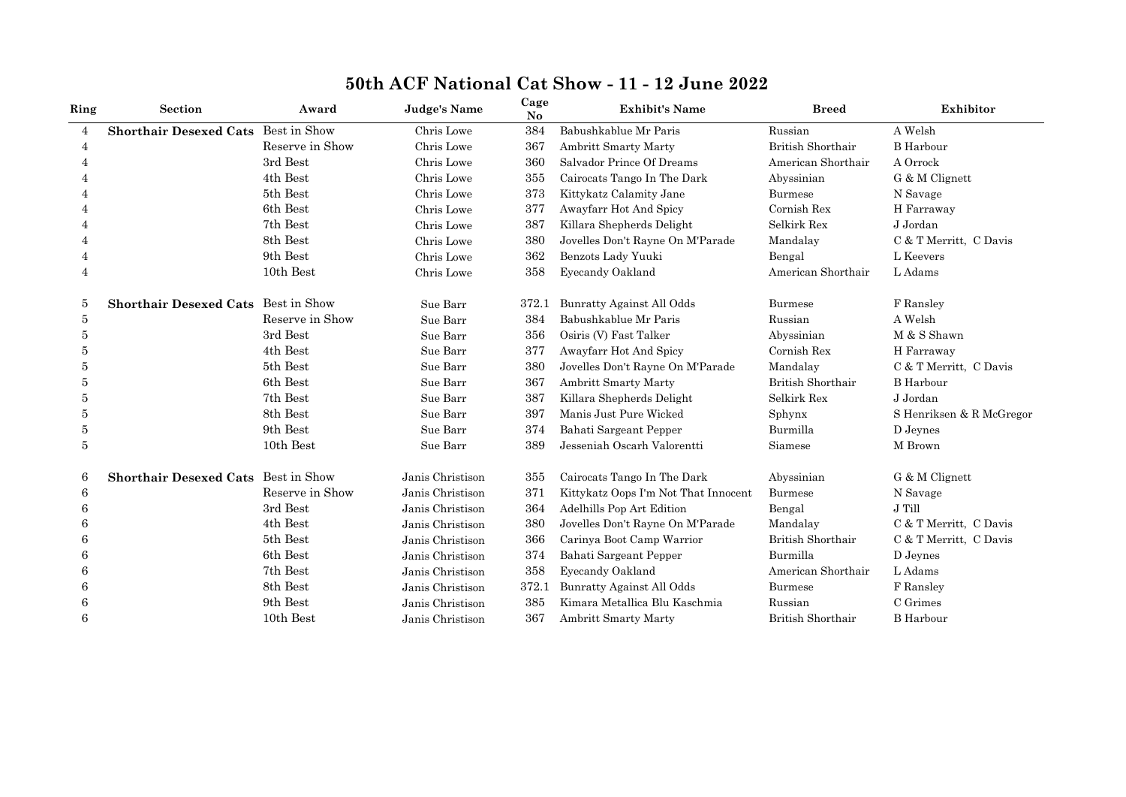| Ring           | <b>Section</b>                | Award           | Judge's Name     | Cage<br>N <sub>o</sub> | <b>Exhibit's Name</b>                | <b>Breed</b>       | Exhibitor                |
|----------------|-------------------------------|-----------------|------------------|------------------------|--------------------------------------|--------------------|--------------------------|
| $\overline{4}$ | <b>Shorthair Desexed Cats</b> | Best in Show    | Chris Lowe       | 384                    | Babushkablue Mr Paris                | Russian            | A Welsh                  |
| 4              |                               | Reserve in Show | Chris Lowe       | 367                    | Ambritt Smarty Marty                 | British Shorthair  | <b>B</b> Harbour         |
| 4              |                               | 3rd Best        | Chris Lowe       | 360                    | Salvador Prince Of Dreams            | American Shorthair | A Orrock                 |
|                |                               | 4th Best        | Chris Lowe       | 355                    | Cairocats Tango In The Dark          | Abyssinian         | G & M Clignett           |
|                |                               | 5th Best        | Chris Lowe       | 373                    | Kittykatz Calamity Jane              | Burmese            | N Savage                 |
|                |                               | 6th Best        | Chris Lowe       | 377                    | Awayfarr Hot And Spicy               | Cornish Rex        | H Farraway               |
|                |                               | 7th Best        | Chris Lowe       | 387                    | Killara Shepherds Delight            | Selkirk Rex        | J Jordan                 |
|                |                               | 8th Best        | Chris Lowe       | 380                    | Jovelles Don't Rayne On M'Parade     | Mandalay           | C & T Merritt, C Davis   |
|                |                               | 9th Best        | Chris Lowe       | 362                    | Benzots Lady Yuuki                   | Bengal             | L Keevers                |
| $\overline{4}$ |                               | 10th Best       | Chris Lowe       | 358                    | Eyecandy Oakland                     | American Shorthair | L Adams                  |
| 5              | <b>Shorthair Desexed Cats</b> | Best in Show    | Sue Barr         | 372.1                  | Bunratty Against All Odds            | <b>Burmese</b>     | F Ransley                |
| 5              |                               | Reserve in Show | Sue Barr         | 384                    | Babushkablue Mr Paris                | Russian            | A Welsh                  |
| 5              |                               | 3rd Best        | Sue Barr         | 356                    | Osiris (V) Fast Talker               | Abyssinian         | M & S Shawn              |
| 5              |                               | 4th Best        | Sue Barr         | 377                    | Awayfarr Hot And Spicy               | Cornish Rex        | H Farraway               |
| 5              |                               | 5th Best        | Sue Barr         | 380                    | Jovelles Don't Rayne On M'Parade     | Mandalay           | C & T Merritt, C Davis   |
| 5              |                               | 6th Best        | Sue Barr         | 367                    | Ambritt Smarty Marty                 | British Shorthair  | <b>B</b> Harbour         |
| 5              |                               | 7th Best        | Sue Barr         | 387                    | Killara Shepherds Delight            | Selkirk Rex        | J Jordan                 |
| 5              |                               | 8th Best        | Sue Barr         | 397                    | Manis Just Pure Wicked               | Sphynx             | S Henriksen & R McGregor |
| 5              |                               | 9th Best        | Sue Barr         | 374                    | Bahati Sargeant Pepper               | Burmilla           | D Jeynes                 |
| 5              |                               | 10th Best       | Sue Barr         | 389                    | Jesseniah Oscarh Valorentti          | Siamese            | M Brown                  |
| 6              | <b>Shorthair Desexed Cats</b> | Best in Show    | Janis Christison | 355                    | Cairocats Tango In The Dark          | Abyssinian         | G & M Clignett           |
| 6              |                               | Reserve in Show | Janis Christison | 371                    | Kittykatz Oops I'm Not That Innocent | <b>Burmese</b>     | N Savage                 |
| 6              |                               | 3rd Best        | Janis Christison | 364                    | Adelhills Pop Art Edition            | Bengal             | J Till                   |
| 6              |                               | 4th Best        | Janis Christison | 380                    | Jovelles Don't Rayne On M'Parade     | Mandalay           | C & T Merritt, C Davis   |
| 6              |                               | 5th Best        | Janis Christison | 366                    | Carinya Boot Camp Warrior            | British Shorthair  | C & T Merritt, C Davis   |
|                |                               | 6th Best        | Janis Christison | 374                    | Bahati Sargeant Pepper               | Burmilla           | D Jeynes                 |
| 6              |                               | 7th Best        | Janis Christison | 358                    | Eyecandy Oakland                     | American Shorthair | L Adams                  |
|                |                               | 8th Best        | Janis Christison | 372.1                  | Bunratty Against All Odds            | <b>Burmese</b>     | F Ransley                |
|                |                               | 9th Best        | Janis Christison | 385                    | Kimara Metallica Blu Kaschmia        | Russian            | C Grimes                 |
| 6              |                               | 10th Best       | Janis Christison | 367                    | <b>Ambritt Smarty Marty</b>          | British Shorthair  | <b>B</b> Harbour         |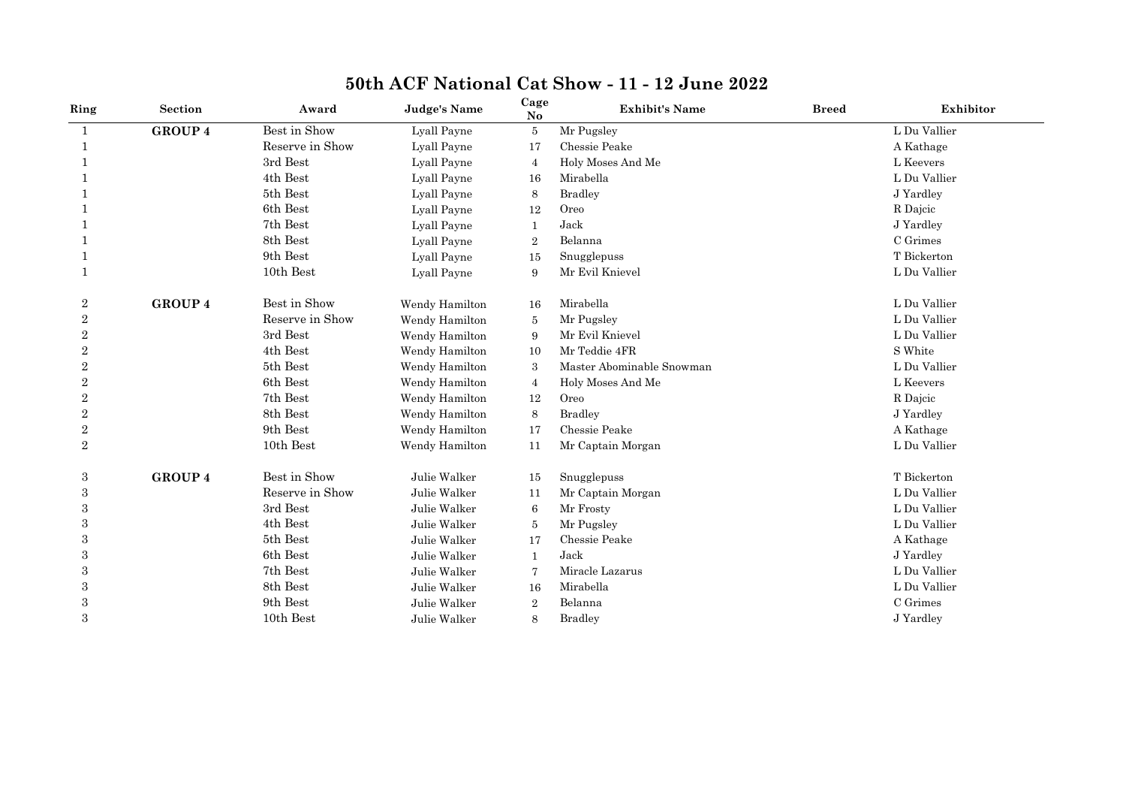| Ring           | Section        | Award           | <b>Judge's Name</b> | Cage<br>$\mathbf{N}\mathbf{o}$ | <b>Exhibit's Name</b>     | <b>Breed</b> | Exhibitor    |
|----------------|----------------|-----------------|---------------------|--------------------------------|---------------------------|--------------|--------------|
| 1              | <b>GROUP 4</b> | Best in Show    | Lyall Payne         | 5                              | Mr Pugsley                |              | L Du Vallier |
| 1              |                | Reserve in Show | Lyall Payne         | 17                             | Chessie Peake             |              | A Kathage    |
|                |                | 3rd Best        | Lyall Payne         | $\overline{4}$                 | Holy Moses And Me         |              | L Keevers    |
|                |                | 4th Best        | Lyall Payne         | 16                             | Mirabella                 |              | L Du Vallier |
|                |                | 5th Best        | Lyall Payne         | 8                              | <b>Bradley</b>            |              | J Yardley    |
|                |                | 6th Best        | Lyall Payne         | 12                             | Oreo                      |              | R Dajcic     |
|                |                | 7th Best        | Lyall Payne         | $\mathbf{1}$                   | Jack                      |              | J Yardley    |
|                |                | 8th Best        | Lyall Payne         | $\overline{2}$                 | Belanna                   |              | C Grimes     |
|                |                | 9th Best        | Lyall Payne         | 15                             | Snugglepuss               |              | T Bickerton  |
| 1              |                | 10th Best       | Lyall Payne         | 9                              | Mr Evil Knievel           |              | L Du Vallier |
| $\overline{2}$ | <b>GROUP 4</b> | Best in Show    | Wendy Hamilton      | 16                             | Mirabella                 |              | L Du Vallier |
| $\overline{2}$ |                | Reserve in Show | Wendy Hamilton      | 5                              | Mr Pugsley                |              | L Du Vallier |
| $\overline{2}$ |                | 3rd Best        | Wendy Hamilton      | 9                              | Mr Evil Knievel           |              | L Du Vallier |
| $\overline{2}$ |                | 4th Best        | Wendy Hamilton      | 10                             | Mr Teddie 4FR             |              | S White      |
| $\overline{2}$ |                | 5th Best        | Wendy Hamilton      | 3                              | Master Abominable Snowman |              | L Du Vallier |
| $\overline{2}$ |                | 6th Best        | Wendy Hamilton      | $\overline{4}$                 | Holy Moses And Me         |              | L Keevers    |
| $\overline{2}$ |                | 7th Best        | Wendy Hamilton      | 12                             | Oreo                      |              | R Dajcic     |
| $\overline{2}$ |                | 8th Best        | Wendy Hamilton      | 8                              | <b>Bradley</b>            |              | J Yardley    |
| $\sqrt{2}$     |                | 9th Best        | Wendy Hamilton      | 17                             | Chessie Peake             |              | A Kathage    |
| $\overline{2}$ |                | 10th Best       | Wendy Hamilton      | 11                             | Mr Captain Morgan         |              | L Du Vallier |
| 3              | <b>GROUP 4</b> | Best in Show    | Julie Walker        | 15                             | Snugglepuss               |              | T Bickerton  |
| 3              |                | Reserve in Show | Julie Walker        | 11                             | Mr Captain Morgan         |              | L Du Vallier |
| 3              |                | 3rd Best        | Julie Walker        | 6                              | Mr Frosty                 |              | L Du Vallier |
| 3              |                | 4th Best        | Julie Walker        | 5                              | Mr Pugsley                |              | L Du Vallier |
| 3              |                | 5th Best        | Julie Walker        | 17                             | Chessie Peake             |              | A Kathage    |
| 3              |                | 6th Best        | Julie Walker        | -1                             | Jack                      |              | J Yardley    |
| 3              |                | 7th Best        | Julie Walker        | 7                              | Miracle Lazarus           |              | L Du Vallier |
| 3              |                | 8th Best        | Julie Walker        | 16                             | Mirabella                 |              | L Du Vallier |
| 3              |                | 9th Best        | Julie Walker        | $\overline{2}$                 | Belanna                   |              | C Grimes     |
| 3              |                | 10th Best       | Julie Walker        | 8                              | <b>Bradley</b>            |              | J Yardley    |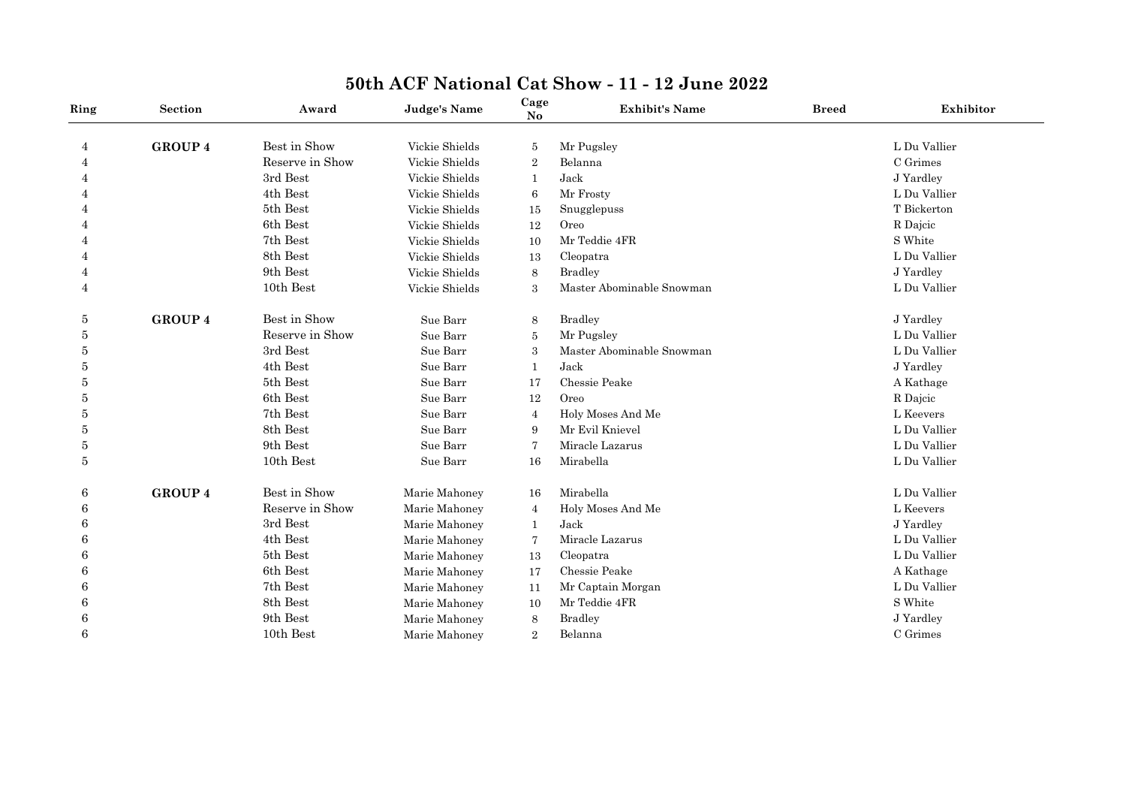| Ring           | Section        | Award           | <b>Judge's Name</b> | Cage<br>No       | <b>Exhibit's Name</b>     | <b>Breed</b> | Exhibitor    |
|----------------|----------------|-----------------|---------------------|------------------|---------------------------|--------------|--------------|
| 4              | <b>GROUP 4</b> | Best in Show    | Vickie Shields      | 5                | Mr Pugsley                |              | L Du Vallier |
| 4              |                | Reserve in Show | Vickie Shields      | $\boldsymbol{2}$ | Belanna                   |              | C Grimes     |
| 4              |                | 3rd Best        | Vickie Shields      | 1                | Jack                      |              | J Yardley    |
| 4              |                | 4th Best        | Vickie Shields      | 6                | Mr Frosty                 |              | L Du Vallier |
| 4              |                | 5th Best        | Vickie Shields      | 15               | Snugglepuss               |              | T Bickerton  |
| 4              |                | 6th Best        | Vickie Shields      | 12               | Oreo                      |              | R Dajcic     |
| 4              |                | 7th Best        | Vickie Shields      | 10               | Mr Teddie 4FR             |              | S White      |
| 4              |                | 8th Best        | Vickie Shields      | 13               | Cleopatra                 |              | L Du Vallier |
| 4              |                | 9th Best        | Vickie Shields      | 8                | <b>Bradley</b>            |              | J Yardley    |
| $\overline{4}$ |                | 10th Best       | Vickie Shields      | 3                | Master Abominable Snowman |              | L Du Vallier |
| 5              | <b>GROUP 4</b> | Best in Show    | Sue Barr            | 8                | <b>Bradley</b>            |              | J Yardley    |
| 5              |                | Reserve in Show | Sue Barr            | 5                | Mr Pugsley                |              | L Du Vallier |
| 5              |                | 3rd Best        | Sue Barr            | 3                | Master Abominable Snowman |              | L Du Vallier |
| 5              |                | 4th Best        | Sue Barr            | 1                | Jack                      |              | J Yardley    |
| 5              |                | 5th Best        | Sue Barr            | 17               | Chessie Peake             |              | A Kathage    |
| 5              |                | 6th Best        | Sue Barr            | 12               | Oreo                      |              | R Dajcic     |
| 5              |                | 7th Best        | Sue Barr            | $\overline{4}$   | Holy Moses And Me         |              | L Keevers    |
| 5              |                | 8th Best        | Sue Barr            | 9                | Mr Evil Knievel           |              | L Du Vallier |
| 5              |                | 9th Best        | Sue Barr            | 7                | Miracle Lazarus           |              | L Du Vallier |
| $\bf 5$        |                | 10th Best       | Sue Barr            | 16               | Mirabella                 |              | L Du Vallier |
| 6              | <b>GROUP 4</b> | Best in Show    | Marie Mahoney       | 16               | Mirabella                 |              | L Du Vallier |
| 6              |                | Reserve in Show | Marie Mahoney       | $\overline{4}$   | Holy Moses And Me         |              | L Keevers    |
| 6              |                | 3rd Best        | Marie Mahoney       | $\mathbf{1}$     | Jack                      |              | J Yardley    |
| 6              |                | 4th Best        | Marie Mahoney       | 7                | Miracle Lazarus           |              | L Du Vallier |
| 6              |                | 5th Best        | Marie Mahoney       | 13               | Cleopatra                 |              | L Du Vallier |
| 6              |                | 6th Best        | Marie Mahoney       | 17               | Chessie Peake             |              | A Kathage    |
| 6              |                | 7th Best        | Marie Mahoney       | 11               | Mr Captain Morgan         |              | L Du Vallier |
| 6              |                | 8th Best        | Marie Mahoney       | 10               | Mr Teddie 4FR             |              | S White      |
| 6              |                | 9th Best        | Marie Mahoney       | 8                | <b>Bradley</b>            |              | J Yardley    |
| 6              |                | 10th Best       | Marie Mahoney       | $\overline{2}$   | Belanna                   |              | C Grimes     |